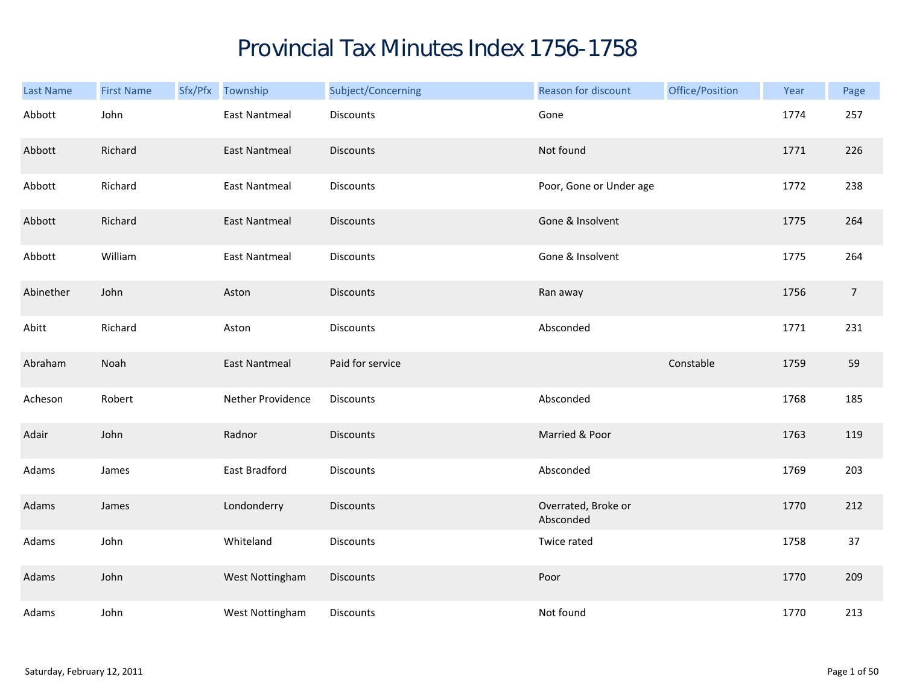## Provincial Tax Minutes Index 1756-1758

| Last Name | <b>First Name</b> | Sfx/Pfx Township     | Subject/Concerning | Reason for discount              | Office/Position | Year | Page           |
|-----------|-------------------|----------------------|--------------------|----------------------------------|-----------------|------|----------------|
| Abbott    | John              | <b>East Nantmeal</b> | Discounts          | Gone                             |                 | 1774 | 257            |
| Abbott    | Richard           | <b>East Nantmeal</b> | <b>Discounts</b>   | Not found                        |                 | 1771 | 226            |
| Abbott    | Richard           | <b>East Nantmeal</b> | Discounts          | Poor, Gone or Under age          |                 | 1772 | 238            |
| Abbott    | Richard           | <b>East Nantmeal</b> | <b>Discounts</b>   | Gone & Insolvent                 |                 | 1775 | 264            |
| Abbott    | William           | <b>East Nantmeal</b> | Discounts          | Gone & Insolvent                 |                 | 1775 | 264            |
| Abinether | John              | Aston                | <b>Discounts</b>   | Ran away                         |                 | 1756 | $\overline{7}$ |
| Abitt     | Richard           | Aston                | Discounts          | Absconded                        |                 | 1771 | 231            |
| Abraham   | Noah              | <b>East Nantmeal</b> | Paid for service   |                                  | Constable       | 1759 | 59             |
| Acheson   | Robert            | Nether Providence    | Discounts          | Absconded                        |                 | 1768 | 185            |
| Adair     | John              | Radnor               | <b>Discounts</b>   | Married & Poor                   |                 | 1763 | 119            |
| Adams     | James             | East Bradford        | <b>Discounts</b>   | Absconded                        |                 | 1769 | 203            |
| Adams     | James             | Londonderry          | <b>Discounts</b>   | Overrated, Broke or<br>Absconded |                 | 1770 | 212            |
| Adams     | John              | Whiteland            | Discounts          | Twice rated                      |                 | 1758 | 37             |
| Adams     | John              | West Nottingham      | <b>Discounts</b>   | Poor                             |                 | 1770 | 209            |
| Adams     | John              | West Nottingham      | Discounts          | Not found                        |                 | 1770 | 213            |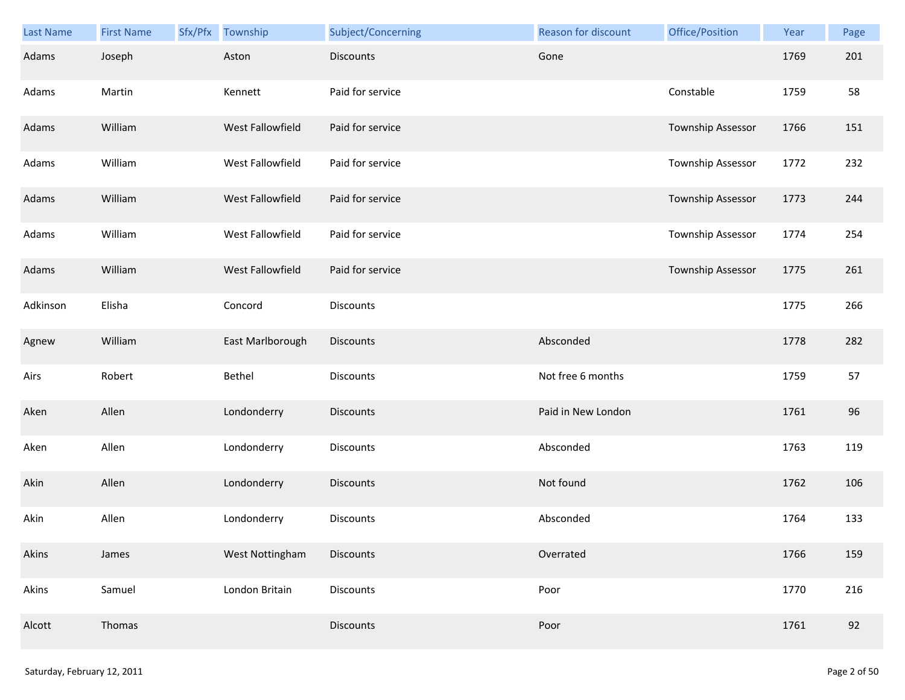| Last Name | <b>First Name</b> | Sfx/Pfx | Township         | Subject/Concerning | Reason for discount | Office/Position          | Year | Page |
|-----------|-------------------|---------|------------------|--------------------|---------------------|--------------------------|------|------|
| Adams     | Joseph            |         | Aston            | <b>Discounts</b>   | Gone                |                          | 1769 | 201  |
| Adams     | Martin            |         | Kennett          | Paid for service   |                     | Constable                | 1759 | 58   |
| Adams     | William           |         | West Fallowfield | Paid for service   |                     | Township Assessor        | 1766 | 151  |
| Adams     | William           |         | West Fallowfield | Paid for service   |                     | Township Assessor        | 1772 | 232  |
| Adams     | William           |         | West Fallowfield | Paid for service   |                     | <b>Township Assessor</b> | 1773 | 244  |
| Adams     | William           |         | West Fallowfield | Paid for service   |                     | Township Assessor        | 1774 | 254  |
| Adams     | William           |         | West Fallowfield | Paid for service   |                     | Township Assessor        | 1775 | 261  |
| Adkinson  | Elisha            |         | Concord          | Discounts          |                     |                          | 1775 | 266  |
| Agnew     | William           |         | East Marlborough | Discounts          | Absconded           |                          | 1778 | 282  |
| Airs      | Robert            |         | Bethel           | <b>Discounts</b>   | Not free 6 months   |                          | 1759 | 57   |
| Aken      | Allen             |         | Londonderry      | <b>Discounts</b>   | Paid in New London  |                          | 1761 | 96   |
| Aken      | Allen             |         | Londonderry      | Discounts          | Absconded           |                          | 1763 | 119  |
| Akin      | Allen             |         | Londonderry      | Discounts          | Not found           |                          | 1762 | 106  |
| Akin      | Allen             |         | Londonderry      | <b>Discounts</b>   | Absconded           |                          | 1764 | 133  |
| Akins     | James             |         | West Nottingham  | <b>Discounts</b>   | Overrated           |                          | 1766 | 159  |
| Akins     | Samuel            |         | London Britain   | Discounts          | Poor                |                          | 1770 | 216  |
| Alcott    | Thomas            |         |                  | <b>Discounts</b>   | Poor                |                          | 1761 | 92   |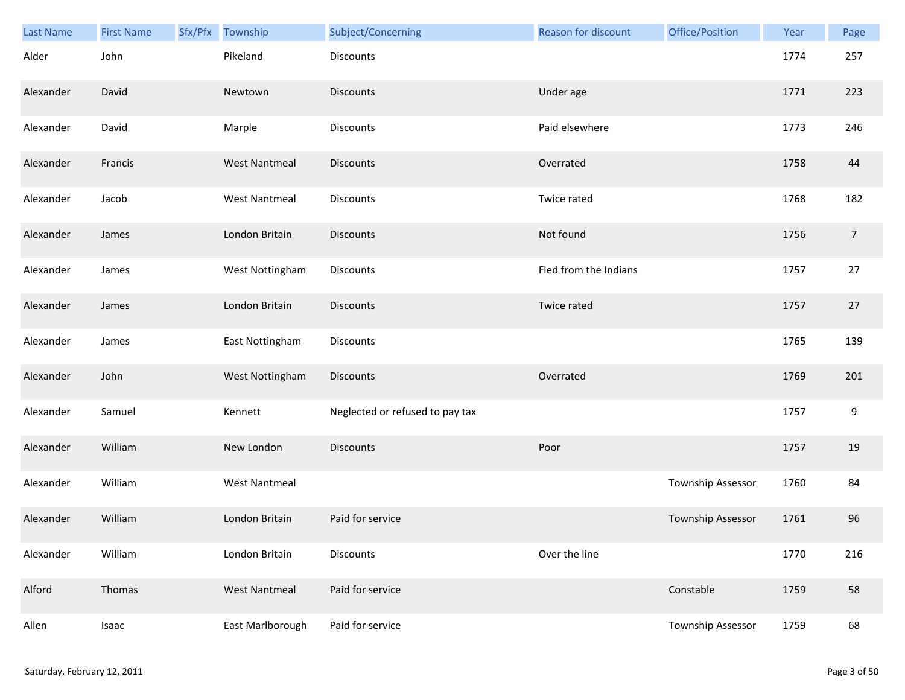| <b>Last Name</b> | <b>First Name</b> | Sfx/Pfx | Township             | Subject/Concerning              | Reason for discount   | Office/Position   | Year | Page             |
|------------------|-------------------|---------|----------------------|---------------------------------|-----------------------|-------------------|------|------------------|
| Alder            | John              |         | Pikeland             | <b>Discounts</b>                |                       |                   | 1774 | 257              |
| Alexander        | David             |         | Newtown              | <b>Discounts</b>                | Under age             |                   | 1771 | 223              |
| Alexander        | David             |         | Marple               | Discounts                       | Paid elsewhere        |                   | 1773 | 246              |
| Alexander        | Francis           |         | <b>West Nantmeal</b> | <b>Discounts</b>                | Overrated             |                   | 1758 | 44               |
| Alexander        | Jacob             |         | <b>West Nantmeal</b> | Discounts                       | Twice rated           |                   | 1768 | 182              |
| Alexander        | James             |         | London Britain       | <b>Discounts</b>                | Not found             |                   | 1756 | $\overline{7}$   |
| Alexander        | James             |         | West Nottingham      | <b>Discounts</b>                | Fled from the Indians |                   | 1757 | 27               |
| Alexander        | James             |         | London Britain       | <b>Discounts</b>                | Twice rated           |                   | 1757 | 27               |
| Alexander        | James             |         | East Nottingham      | <b>Discounts</b>                |                       |                   | 1765 | 139              |
| Alexander        | John              |         | West Nottingham      | <b>Discounts</b>                | Overrated             |                   | 1769 | 201              |
| Alexander        | Samuel            |         | Kennett              | Neglected or refused to pay tax |                       |                   | 1757 | $\boldsymbol{9}$ |
| Alexander        | William           |         | New London           | <b>Discounts</b>                | Poor                  |                   | 1757 | 19               |
| Alexander        | William           |         | <b>West Nantmeal</b> |                                 |                       | Township Assessor | 1760 | 84               |
| Alexander        | William           |         | London Britain       | Paid for service                |                       | Township Assessor | 1761 | 96               |
| Alexander        | William           |         | London Britain       | Discounts                       | Over the line         |                   | 1770 | 216              |
| Alford           | Thomas            |         | <b>West Nantmeal</b> | Paid for service                |                       | Constable         | 1759 | 58               |
| Allen            | Isaac             |         | East Marlborough     | Paid for service                |                       | Township Assessor | 1759 | 68               |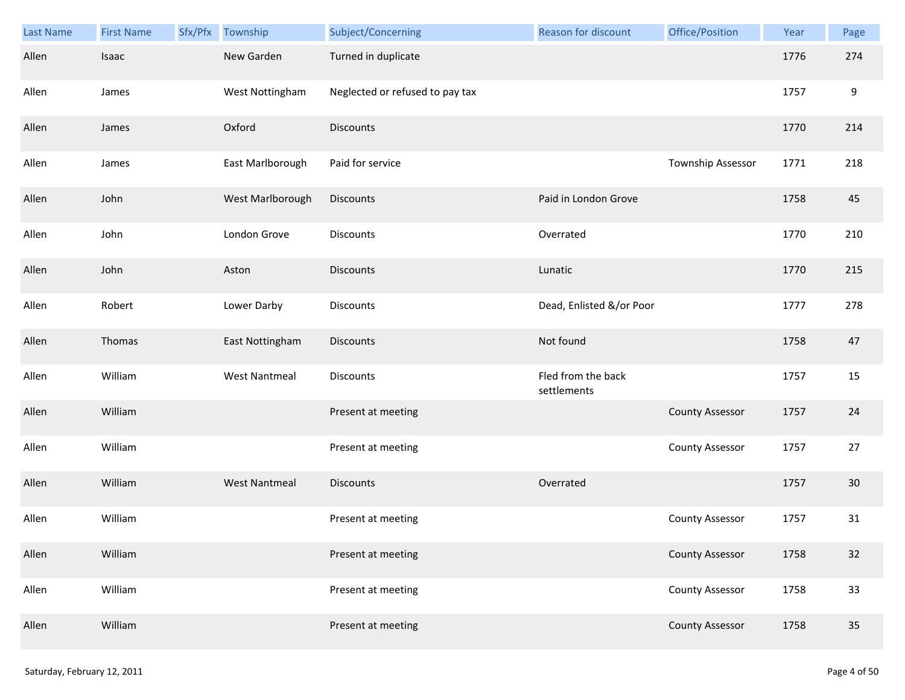| Last Name | <b>First Name</b> | Sfx/Pfx | Township             | Subject/Concerning              | Reason for discount               | Office/Position        | Year | Page             |
|-----------|-------------------|---------|----------------------|---------------------------------|-----------------------------------|------------------------|------|------------------|
| Allen     | Isaac             |         | New Garden           | Turned in duplicate             |                                   |                        | 1776 | 274              |
| Allen     | James             |         | West Nottingham      | Neglected or refused to pay tax |                                   |                        | 1757 | $\boldsymbol{9}$ |
| Allen     | James             |         | Oxford               | <b>Discounts</b>                |                                   |                        | 1770 | 214              |
| Allen     | James             |         | East Marlborough     | Paid for service                |                                   | Township Assessor      | 1771 | 218              |
| Allen     | John              |         | West Marlborough     | <b>Discounts</b>                | Paid in London Grove              |                        | 1758 | 45               |
| Allen     | John              |         | London Grove         | <b>Discounts</b>                | Overrated                         |                        | 1770 | 210              |
| Allen     | John              |         | Aston                | <b>Discounts</b>                | Lunatic                           |                        | 1770 | 215              |
| Allen     | Robert            |         | Lower Darby          | Discounts                       | Dead, Enlisted &/or Poor          |                        | 1777 | 278              |
| Allen     | Thomas            |         | East Nottingham      | <b>Discounts</b>                | Not found                         |                        | 1758 | 47               |
| Allen     | William           |         | <b>West Nantmeal</b> | Discounts                       | Fled from the back<br>settlements |                        | 1757 | 15               |
| Allen     | William           |         |                      | Present at meeting              |                                   | <b>County Assessor</b> | 1757 | 24               |
| Allen     | William           |         |                      | Present at meeting              |                                   | <b>County Assessor</b> | 1757 | 27               |
| Allen     | William           |         | <b>West Nantmeal</b> | <b>Discounts</b>                | Overrated                         |                        | 1757 | $30\,$           |
| Allen     | William           |         |                      | Present at meeting              |                                   | <b>County Assessor</b> | 1757 | 31               |
| Allen     | William           |         |                      | Present at meeting              |                                   | <b>County Assessor</b> | 1758 | 32               |
| Allen     | William           |         |                      | Present at meeting              |                                   | <b>County Assessor</b> | 1758 | 33               |
| Allen     | William           |         |                      | Present at meeting              |                                   | <b>County Assessor</b> | 1758 | 35               |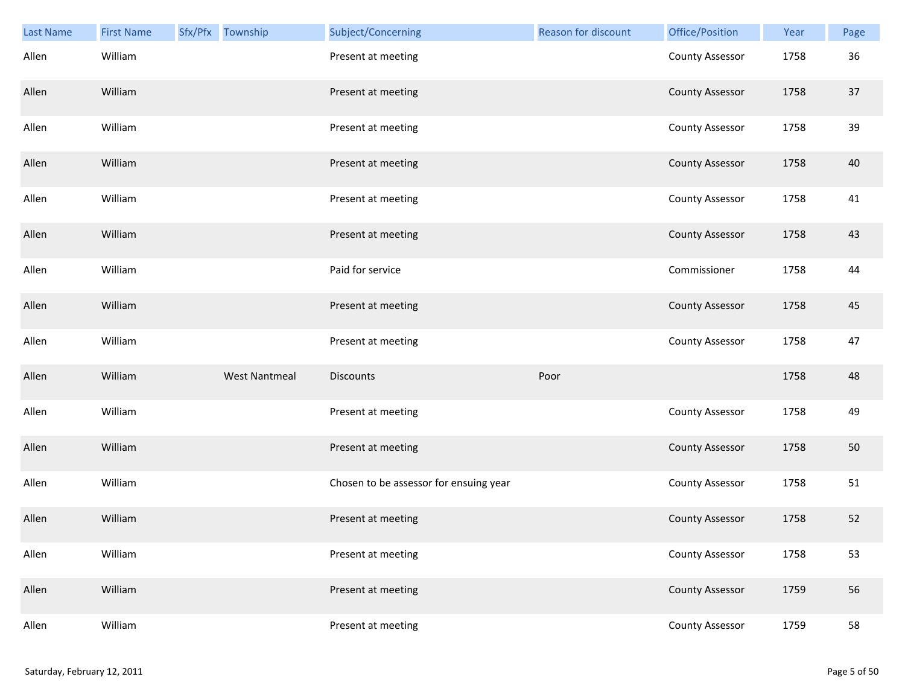| <b>Last Name</b> | <b>First Name</b> | Sfx/Pfx Township     | Subject/Concerning                     | Reason for discount | Office/Position        | Year | Page |
|------------------|-------------------|----------------------|----------------------------------------|---------------------|------------------------|------|------|
| Allen            | William           |                      | Present at meeting                     |                     | <b>County Assessor</b> | 1758 | 36   |
| Allen            | William           |                      | Present at meeting                     |                     | <b>County Assessor</b> | 1758 | 37   |
| Allen            | William           |                      | Present at meeting                     |                     | <b>County Assessor</b> | 1758 | 39   |
| Allen            | William           |                      | Present at meeting                     |                     | <b>County Assessor</b> | 1758 | 40   |
| Allen            | William           |                      | Present at meeting                     |                     | <b>County Assessor</b> | 1758 | 41   |
| Allen            | William           |                      | Present at meeting                     |                     | <b>County Assessor</b> | 1758 | 43   |
| Allen            | William           |                      | Paid for service                       |                     | Commissioner           | 1758 | 44   |
| Allen            | William           |                      | Present at meeting                     |                     | <b>County Assessor</b> | 1758 | 45   |
| Allen            | William           |                      | Present at meeting                     |                     | <b>County Assessor</b> | 1758 | 47   |
| Allen            | William           | <b>West Nantmeal</b> | Discounts                              | Poor                |                        | 1758 | 48   |
| Allen            | William           |                      | Present at meeting                     |                     | <b>County Assessor</b> | 1758 | 49   |
| Allen            | William           |                      | Present at meeting                     |                     | <b>County Assessor</b> | 1758 | 50   |
| Allen            | William           |                      | Chosen to be assessor for ensuing year |                     | <b>County Assessor</b> | 1758 | 51   |
| Allen            | William           |                      | Present at meeting                     |                     | <b>County Assessor</b> | 1758 | 52   |
| Allen            | William           |                      | Present at meeting                     |                     | County Assessor        | 1758 | 53   |
| Allen            | William           |                      | Present at meeting                     |                     | <b>County Assessor</b> | 1759 | 56   |
| Allen            | William           |                      | Present at meeting                     |                     | <b>County Assessor</b> | 1759 | 58   |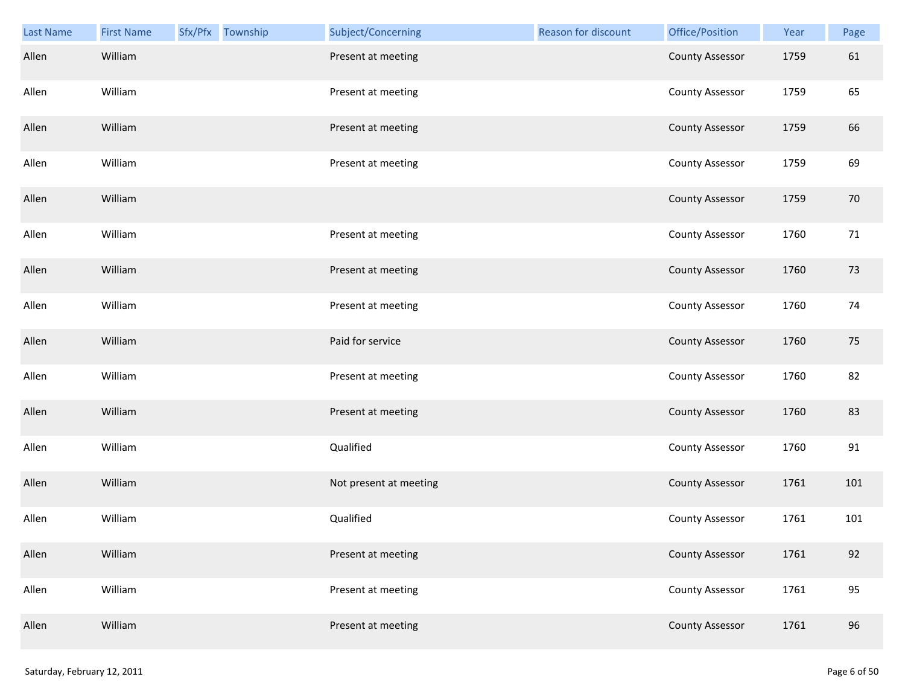| <b>Last Name</b> | <b>First Name</b> | Sfx/Pfx Township | Subject/Concerning     | Reason for discount | Office/Position        | Year | Page |
|------------------|-------------------|------------------|------------------------|---------------------|------------------------|------|------|
| Allen            | William           |                  | Present at meeting     |                     | <b>County Assessor</b> | 1759 | 61   |
| Allen            | William           |                  | Present at meeting     |                     | <b>County Assessor</b> | 1759 | 65   |
| Allen            | William           |                  | Present at meeting     |                     | <b>County Assessor</b> | 1759 | 66   |
| Allen            | William           |                  | Present at meeting     |                     | <b>County Assessor</b> | 1759 | 69   |
| Allen            | William           |                  |                        |                     | <b>County Assessor</b> | 1759 | 70   |
| Allen            | William           |                  | Present at meeting     |                     | <b>County Assessor</b> | 1760 | 71   |
| Allen            | William           |                  | Present at meeting     |                     | <b>County Assessor</b> | 1760 | 73   |
| Allen            | William           |                  | Present at meeting     |                     | <b>County Assessor</b> | 1760 | 74   |
| Allen            | William           |                  | Paid for service       |                     | <b>County Assessor</b> | 1760 | 75   |
| Allen            | William           |                  | Present at meeting     |                     | <b>County Assessor</b> | 1760 | 82   |
| Allen            | William           |                  | Present at meeting     |                     | <b>County Assessor</b> | 1760 | 83   |
| Allen            | William           |                  | Qualified              |                     | <b>County Assessor</b> | 1760 | 91   |
| Allen            | William           |                  | Not present at meeting |                     | <b>County Assessor</b> | 1761 | 101  |
| Allen            | William           |                  | Qualified              |                     | <b>County Assessor</b> | 1761 | 101  |
| Allen            | William           |                  | Present at meeting     |                     | <b>County Assessor</b> | 1761 | 92   |
| Allen            | William           |                  | Present at meeting     |                     | <b>County Assessor</b> | 1761 | 95   |
| Allen            | William           |                  | Present at meeting     |                     | <b>County Assessor</b> | 1761 | 96   |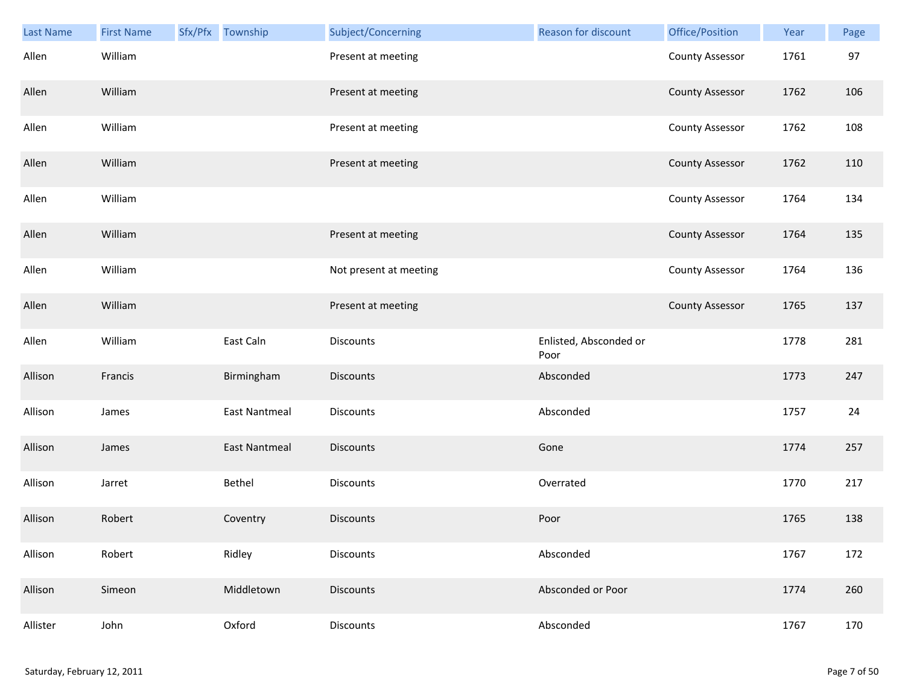| <b>Last Name</b> | <b>First Name</b> | Sfx/Pfx Township     | Subject/Concerning     | Reason for discount            | Office/Position        | Year | Page |
|------------------|-------------------|----------------------|------------------------|--------------------------------|------------------------|------|------|
| Allen            | William           |                      | Present at meeting     |                                | <b>County Assessor</b> | 1761 | 97   |
| Allen            | William           |                      | Present at meeting     |                                | <b>County Assessor</b> | 1762 | 106  |
| Allen            | William           |                      | Present at meeting     |                                | <b>County Assessor</b> | 1762 | 108  |
| Allen            | William           |                      | Present at meeting     |                                | <b>County Assessor</b> | 1762 | 110  |
| Allen            | William           |                      |                        |                                | <b>County Assessor</b> | 1764 | 134  |
| Allen            | William           |                      | Present at meeting     |                                | <b>County Assessor</b> | 1764 | 135  |
| Allen            | William           |                      | Not present at meeting |                                | <b>County Assessor</b> | 1764 | 136  |
| Allen            | William           |                      | Present at meeting     |                                | <b>County Assessor</b> | 1765 | 137  |
| Allen            | William           | East Caln            | Discounts              | Enlisted, Absconded or<br>Poor |                        | 1778 | 281  |
| Allison          | Francis           | Birmingham           | <b>Discounts</b>       | Absconded                      |                        | 1773 | 247  |
| Allison          | James             | <b>East Nantmeal</b> | Discounts              | Absconded                      |                        | 1757 | 24   |
| Allison          | James             | <b>East Nantmeal</b> | Discounts              | Gone                           |                        | 1774 | 257  |
| Allison          | Jarret            | Bethel               | Discounts              | Overrated                      |                        | 1770 | 217  |
| Allison          | Robert            | Coventry             | <b>Discounts</b>       | Poor                           |                        | 1765 | 138  |
| Allison          | Robert            | Ridley               | <b>Discounts</b>       | Absconded                      |                        | 1767 | 172  |
| Allison          | Simeon            | Middletown           | <b>Discounts</b>       | Absconded or Poor              |                        | 1774 | 260  |
| Allister         | John              | Oxford               | <b>Discounts</b>       | Absconded                      |                        | 1767 | 170  |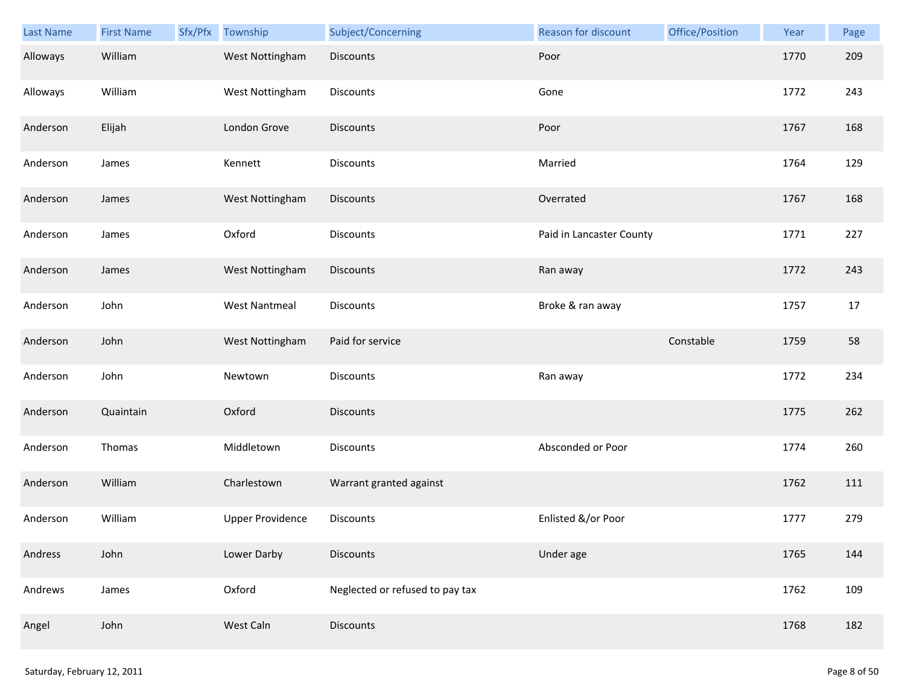| Last Name | <b>First Name</b> | Sfx/Pfx | Township                | Subject/Concerning              | Reason for discount      | Office/Position | Year | Page |
|-----------|-------------------|---------|-------------------------|---------------------------------|--------------------------|-----------------|------|------|
| Alloways  | William           |         | West Nottingham         | <b>Discounts</b>                | Poor                     |                 | 1770 | 209  |
| Alloways  | William           |         | West Nottingham         | Discounts                       | Gone                     |                 | 1772 | 243  |
| Anderson  | Elijah            |         | London Grove            | <b>Discounts</b>                | Poor                     |                 | 1767 | 168  |
| Anderson  | James             |         | Kennett                 | Discounts                       | Married                  |                 | 1764 | 129  |
| Anderson  | James             |         | West Nottingham         | Discounts                       | Overrated                |                 | 1767 | 168  |
| Anderson  | James             |         | Oxford                  | Discounts                       | Paid in Lancaster County |                 | 1771 | 227  |
| Anderson  | James             |         | West Nottingham         | <b>Discounts</b>                | Ran away                 |                 | 1772 | 243  |
| Anderson  | John              |         | <b>West Nantmeal</b>    | Discounts                       | Broke & ran away         |                 | 1757 | 17   |
| Anderson  | John              |         | West Nottingham         | Paid for service                |                          | Constable       | 1759 | 58   |
| Anderson  | John              |         | Newtown                 | Discounts                       | Ran away                 |                 | 1772 | 234  |
| Anderson  | Quaintain         |         | Oxford                  | <b>Discounts</b>                |                          |                 | 1775 | 262  |
| Anderson  | Thomas            |         | Middletown              | Discounts                       | Absconded or Poor        |                 | 1774 | 260  |
| Anderson  | William           |         | Charlestown             | Warrant granted against         |                          |                 | 1762 | 111  |
| Anderson  | William           |         | <b>Upper Providence</b> | Discounts                       | Enlisted &/or Poor       |                 | 1777 | 279  |
| Andress   | John              |         | Lower Darby             | <b>Discounts</b>                | Under age                |                 | 1765 | 144  |
| Andrews   | James             |         | Oxford                  | Neglected or refused to pay tax |                          |                 | 1762 | 109  |
| Angel     | John              |         | West Caln               | <b>Discounts</b>                |                          |                 | 1768 | 182  |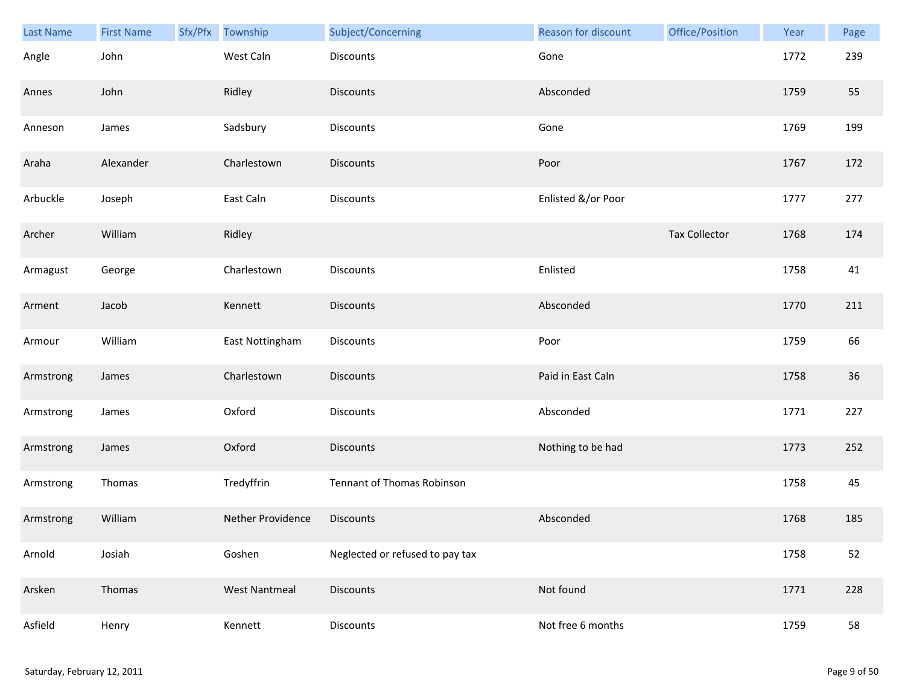| Last Name | <b>First Name</b> | Sfx/Pfx | Township             | Subject/Concerning              | Reason for discount | Office/Position      | Year | Page |
|-----------|-------------------|---------|----------------------|---------------------------------|---------------------|----------------------|------|------|
| Angle     | John              |         | West Caln            | <b>Discounts</b>                | Gone                |                      | 1772 | 239  |
| Annes     | John              |         | Ridley               | <b>Discounts</b>                | Absconded           |                      | 1759 | 55   |
| Anneson   | James             |         | Sadsbury             | Discounts                       | Gone                |                      | 1769 | 199  |
| Araha     | Alexander         |         | Charlestown          | <b>Discounts</b>                | Poor                |                      | 1767 | 172  |
| Arbuckle  | Joseph            |         | East Caln            | Discounts                       | Enlisted &/or Poor  |                      | 1777 | 277  |
| Archer    | William           |         | Ridley               |                                 |                     | <b>Tax Collector</b> | 1768 | 174  |
| Armagust  | George            |         | Charlestown          | <b>Discounts</b>                | Enlisted            |                      | 1758 | 41   |
| Arment    | Jacob             |         | Kennett              | <b>Discounts</b>                | Absconded           |                      | 1770 | 211  |
| Armour    | William           |         | East Nottingham      | <b>Discounts</b>                | Poor                |                      | 1759 | 66   |
| Armstrong | James             |         | Charlestown          | <b>Discounts</b>                | Paid in East Caln   |                      | 1758 | 36   |
| Armstrong | James             |         | Oxford               | Discounts                       | Absconded           |                      | 1771 | 227  |
| Armstrong | James             |         | Oxford               | <b>Discounts</b>                | Nothing to be had   |                      | 1773 | 252  |
| Armstrong | Thomas            |         | Tredyffrin           | Tennant of Thomas Robinson      |                     |                      | 1758 | 45   |
| Armstrong | William           |         | Nether Providence    | Discounts                       | Absconded           |                      | 1768 | 185  |
| Arnold    | Josiah            |         | Goshen               | Neglected or refused to pay tax |                     |                      | 1758 | 52   |
| Arsken    | Thomas            |         | <b>West Nantmeal</b> | <b>Discounts</b>                | Not found           |                      | 1771 | 228  |
| Asfield   | Henry             |         | Kennett              | Discounts                       | Not free 6 months   |                      | 1759 | 58   |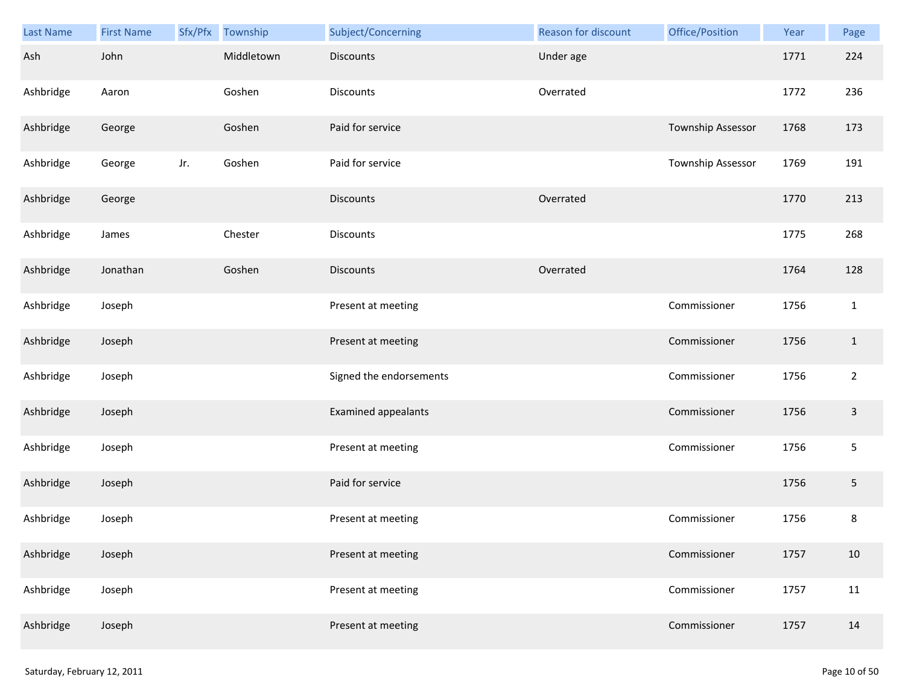| Last Name | <b>First Name</b> |     | Sfx/Pfx Township | Subject/Concerning      | Reason for discount | Office/Position   | Year | Page           |
|-----------|-------------------|-----|------------------|-------------------------|---------------------|-------------------|------|----------------|
| Ash       | John              |     | Middletown       | <b>Discounts</b>        | Under age           |                   | 1771 | 224            |
| Ashbridge | Aaron             |     | Goshen           | <b>Discounts</b>        | Overrated           |                   | 1772 | 236            |
| Ashbridge | George            |     | Goshen           | Paid for service        |                     | Township Assessor | 1768 | 173            |
| Ashbridge | George            | Jr. | Goshen           | Paid for service        |                     | Township Assessor | 1769 | 191            |
| Ashbridge | George            |     |                  | <b>Discounts</b>        | Overrated           |                   | 1770 | 213            |
| Ashbridge | James             |     | Chester          | Discounts               |                     |                   | 1775 | 268            |
| Ashbridge | Jonathan          |     | Goshen           | <b>Discounts</b>        | Overrated           |                   | 1764 | 128            |
| Ashbridge | Joseph            |     |                  | Present at meeting      |                     | Commissioner      | 1756 | $\mathbf{1}$   |
| Ashbridge | Joseph            |     |                  | Present at meeting      |                     | Commissioner      | 1756 | $\mathbf{1}$   |
| Ashbridge | Joseph            |     |                  | Signed the endorsements |                     | Commissioner      | 1756 | $\overline{2}$ |
| Ashbridge | Joseph            |     |                  | Examined appealants     |                     | Commissioner      | 1756 | $\mathsf 3$    |
| Ashbridge | Joseph            |     |                  | Present at meeting      |                     | Commissioner      | 1756 | $\sqrt{5}$     |
| Ashbridge | Joseph            |     |                  | Paid for service        |                     |                   | 1756 | $\sqrt{5}$     |
| Ashbridge | Joseph            |     |                  | Present at meeting      |                     | Commissioner      | 1756 | $\bf 8$        |
| Ashbridge | Joseph            |     |                  | Present at meeting      |                     | Commissioner      | 1757 | 10             |
| Ashbridge | Joseph            |     |                  | Present at meeting      |                     | Commissioner      | 1757 | 11             |
| Ashbridge | Joseph            |     |                  | Present at meeting      |                     | Commissioner      | 1757 | 14             |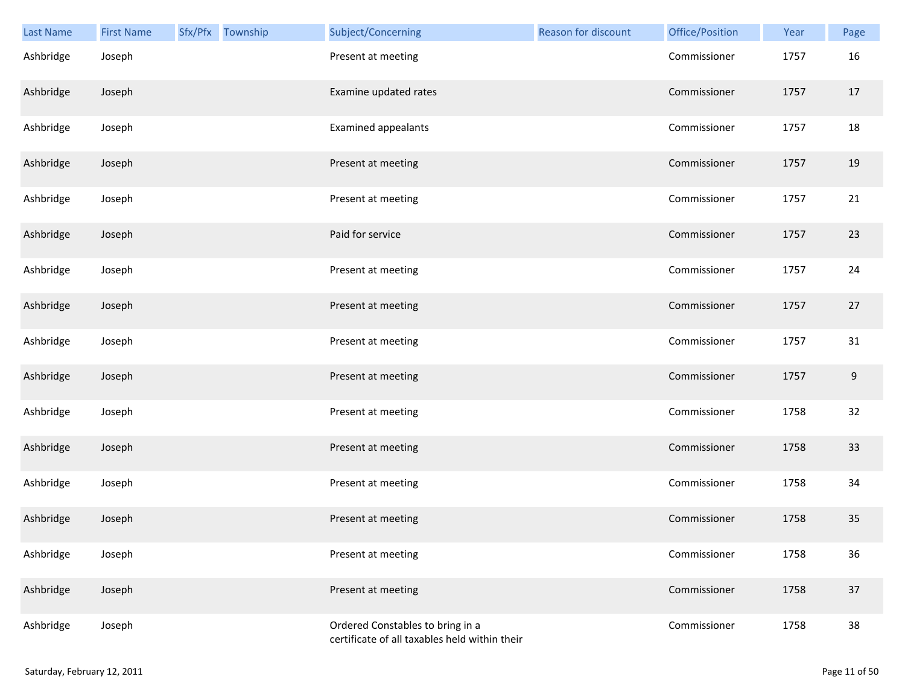| Last Name | <b>First Name</b> | Sfx/Pfx Township | Subject/Concerning                                                                | Reason for discount | Office/Position | Year | Page |
|-----------|-------------------|------------------|-----------------------------------------------------------------------------------|---------------------|-----------------|------|------|
| Ashbridge | Joseph            |                  | Present at meeting                                                                |                     | Commissioner    | 1757 | 16   |
| Ashbridge | Joseph            |                  | Examine updated rates                                                             |                     | Commissioner    | 1757 | 17   |
| Ashbridge | Joseph            |                  | Examined appealants                                                               |                     | Commissioner    | 1757 | 18   |
| Ashbridge | Joseph            |                  | Present at meeting                                                                |                     | Commissioner    | 1757 | 19   |
| Ashbridge | Joseph            |                  | Present at meeting                                                                |                     | Commissioner    | 1757 | 21   |
| Ashbridge | Joseph            |                  | Paid for service                                                                  |                     | Commissioner    | 1757 | 23   |
| Ashbridge | Joseph            |                  | Present at meeting                                                                |                     | Commissioner    | 1757 | 24   |
| Ashbridge | Joseph            |                  | Present at meeting                                                                |                     | Commissioner    | 1757 | 27   |
| Ashbridge | Joseph            |                  | Present at meeting                                                                |                     | Commissioner    | 1757 | 31   |
| Ashbridge | Joseph            |                  | Present at meeting                                                                |                     | Commissioner    | 1757 | 9    |
| Ashbridge | Joseph            |                  | Present at meeting                                                                |                     | Commissioner    | 1758 | 32   |
| Ashbridge | Joseph            |                  | Present at meeting                                                                |                     | Commissioner    | 1758 | 33   |
| Ashbridge | Joseph            |                  | Present at meeting                                                                |                     | Commissioner    | 1758 | 34   |
| Ashbridge | Joseph            |                  | Present at meeting                                                                |                     | Commissioner    | 1758 | 35   |
| Ashbridge | Joseph            |                  | Present at meeting                                                                |                     | Commissioner    | 1758 | 36   |
| Ashbridge | Joseph            |                  | Present at meeting                                                                |                     | Commissioner    | 1758 | 37   |
| Ashbridge | Joseph            |                  | Ordered Constables to bring in a<br>certificate of all taxables held within their |                     | Commissioner    | 1758 | 38   |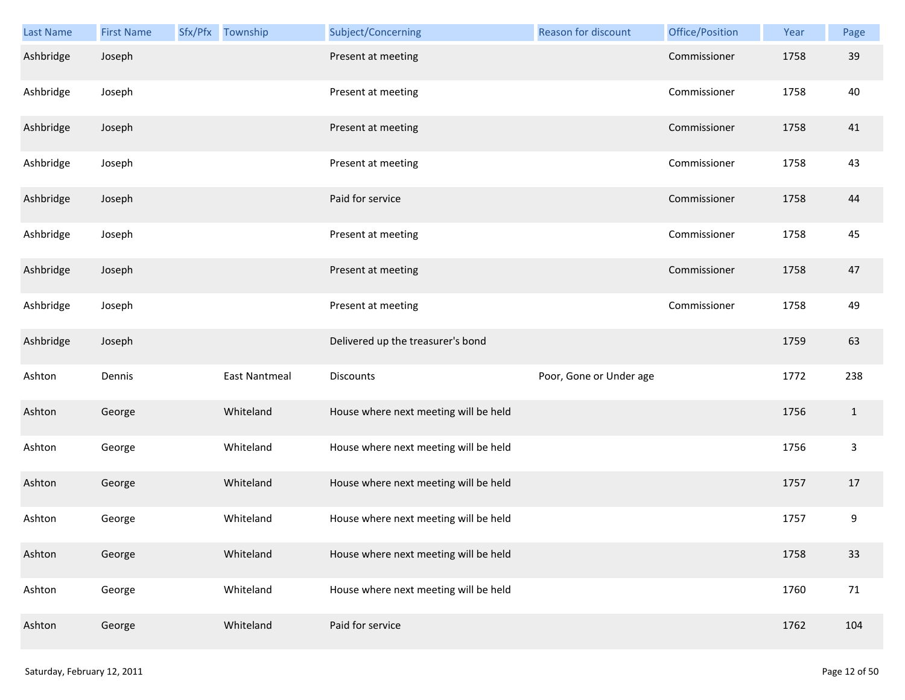| <b>Last Name</b> | <b>First Name</b> | Sfx/Pfx Township     | Subject/Concerning                    | Reason for discount     | Office/Position | Year | Page         |
|------------------|-------------------|----------------------|---------------------------------------|-------------------------|-----------------|------|--------------|
| Ashbridge        | Joseph            |                      | Present at meeting                    |                         | Commissioner    | 1758 | 39           |
| Ashbridge        | Joseph            |                      | Present at meeting                    |                         | Commissioner    | 1758 | 40           |
| Ashbridge        | Joseph            |                      | Present at meeting                    |                         | Commissioner    | 1758 | 41           |
| Ashbridge        | Joseph            |                      | Present at meeting                    |                         | Commissioner    | 1758 | 43           |
| Ashbridge        | Joseph            |                      | Paid for service                      |                         | Commissioner    | 1758 | 44           |
| Ashbridge        | Joseph            |                      | Present at meeting                    |                         | Commissioner    | 1758 | 45           |
| Ashbridge        | Joseph            |                      | Present at meeting                    |                         | Commissioner    | 1758 | 47           |
| Ashbridge        | Joseph            |                      | Present at meeting                    |                         | Commissioner    | 1758 | 49           |
| Ashbridge        | Joseph            |                      | Delivered up the treasurer's bond     |                         |                 | 1759 | 63           |
| Ashton           | Dennis            | <b>East Nantmeal</b> | Discounts                             | Poor, Gone or Under age |                 | 1772 | 238          |
| Ashton           | George            | Whiteland            | House where next meeting will be held |                         |                 | 1756 | $\mathbf{1}$ |
| Ashton           | George            | Whiteland            | House where next meeting will be held |                         |                 | 1756 | $\mathsf{3}$ |
| Ashton           | George            | Whiteland            | House where next meeting will be held |                         |                 | 1757 | 17           |
| Ashton           | George            | Whiteland            | House where next meeting will be held |                         |                 | 1757 | 9            |
| Ashton           | George            | Whiteland            | House where next meeting will be held |                         |                 | 1758 | 33           |
| Ashton           | George            | Whiteland            | House where next meeting will be held |                         |                 | 1760 | 71           |
| Ashton           | George            | Whiteland            | Paid for service                      |                         |                 | 1762 | 104          |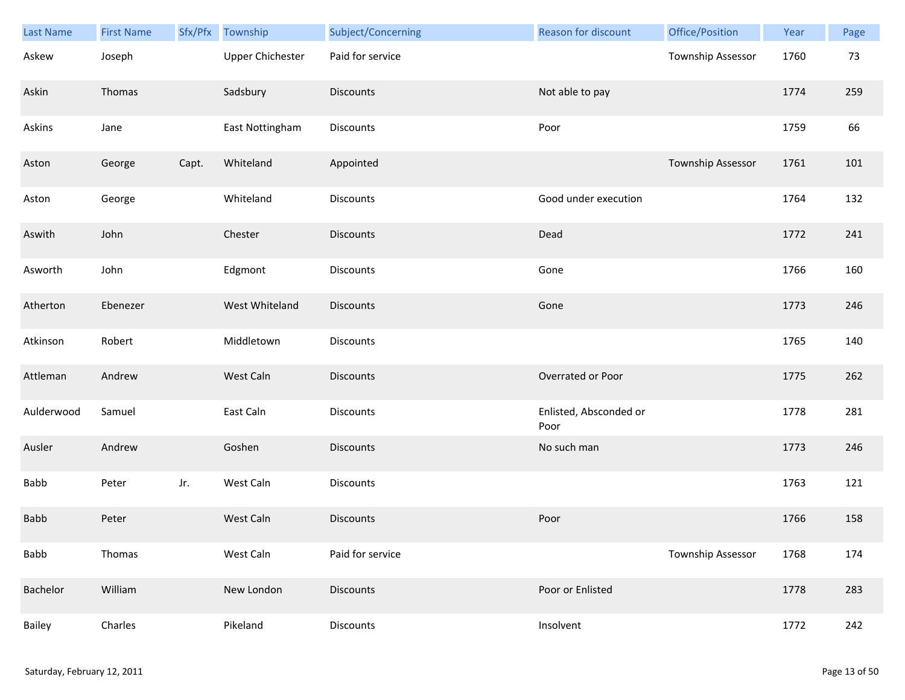| Last Name   | <b>First Name</b> |       | Sfx/Pfx Township        | Subject/Concerning | <b>Reason for discount</b>     | Office/Position   | Year | Page |
|-------------|-------------------|-------|-------------------------|--------------------|--------------------------------|-------------------|------|------|
| Askew       | Joseph            |       | <b>Upper Chichester</b> | Paid for service   |                                | Township Assessor | 1760 | 73   |
| Askin       | Thomas            |       | Sadsbury                | <b>Discounts</b>   | Not able to pay                |                   | 1774 | 259  |
| Askins      | Jane              |       | East Nottingham         | Discounts          | Poor                           |                   | 1759 | 66   |
| Aston       | George            | Capt. | Whiteland               | Appointed          |                                | Township Assessor | 1761 | 101  |
| Aston       | George            |       | Whiteland               | Discounts          | Good under execution           |                   | 1764 | 132  |
| Aswith      | John              |       | Chester                 | <b>Discounts</b>   | Dead                           |                   | 1772 | 241  |
| Asworth     | John              |       | Edgmont                 | Discounts          | Gone                           |                   | 1766 | 160  |
| Atherton    | Ebenezer          |       | West Whiteland          | Discounts          | Gone                           |                   | 1773 | 246  |
| Atkinson    | Robert            |       | Middletown              | Discounts          |                                |                   | 1765 | 140  |
| Attleman    | Andrew            |       | West Caln               | <b>Discounts</b>   | Overrated or Poor              |                   | 1775 | 262  |
| Aulderwood  | Samuel            |       | East Caln               | <b>Discounts</b>   | Enlisted, Absconded or<br>Poor |                   | 1778 | 281  |
| Ausler      | Andrew            |       | Goshen                  | <b>Discounts</b>   | No such man                    |                   | 1773 | 246  |
| Babb        | Peter             | Jr.   | West Caln               | Discounts          |                                |                   | 1763 | 121  |
| <b>Babb</b> | Peter             |       | West Caln               | <b>Discounts</b>   | Poor                           |                   | 1766 | 158  |
| Babb        | Thomas            |       | West Caln               | Paid for service   |                                | Township Assessor | 1768 | 174  |
| Bachelor    | William           |       | New London              | <b>Discounts</b>   | Poor or Enlisted               |                   | 1778 | 283  |
| Bailey      | Charles           |       | Pikeland                | Discounts          | Insolvent                      |                   | 1772 | 242  |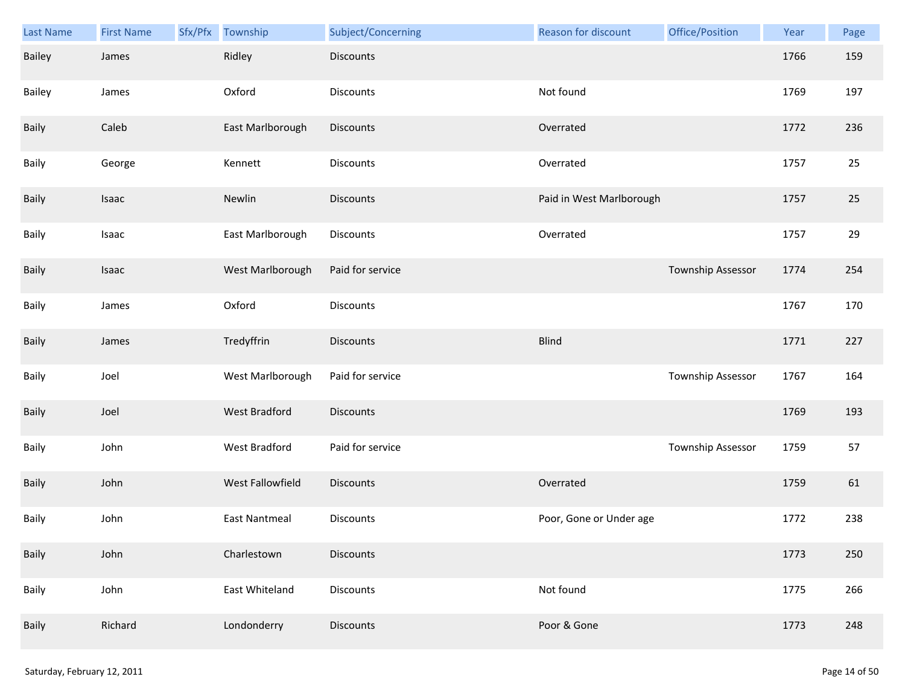| <b>Last Name</b> | <b>First Name</b> | Sfx/Pfx | Township             | Subject/Concerning | Reason for discount      | Office/Position   | Year | Page |
|------------------|-------------------|---------|----------------------|--------------------|--------------------------|-------------------|------|------|
| Bailey           | James             |         | Ridley               | Discounts          |                          |                   | 1766 | 159  |
| Bailey           | James             |         | Oxford               | Discounts          | Not found                |                   | 1769 | 197  |
| Baily            | Caleb             |         | East Marlborough     | Discounts          | Overrated                |                   | 1772 | 236  |
| Baily            | George            |         | Kennett              | Discounts          | Overrated                |                   | 1757 | 25   |
| Baily            | Isaac             |         | Newlin               | <b>Discounts</b>   | Paid in West Marlborough |                   | 1757 | 25   |
| Baily            | Isaac             |         | East Marlborough     | Discounts          | Overrated                |                   | 1757 | 29   |
| Baily            | Isaac             |         | West Marlborough     | Paid for service   |                          | Township Assessor | 1774 | 254  |
| Baily            | James             |         | Oxford               | Discounts          |                          |                   | 1767 | 170  |
| Baily            | James             |         | Tredyffrin           | <b>Discounts</b>   | <b>Blind</b>             |                   | 1771 | 227  |
| Baily            | Joel              |         | West Marlborough     | Paid for service   |                          | Township Assessor | 1767 | 164  |
| Baily            | Joel              |         | <b>West Bradford</b> | Discounts          |                          |                   | 1769 | 193  |
| Baily            | John              |         | West Bradford        | Paid for service   |                          | Township Assessor | 1759 | 57   |
| Baily            | John              |         | West Fallowfield     | Discounts          | Overrated                |                   | 1759 | 61   |
| Baily            | John              |         | <b>East Nantmeal</b> | Discounts          | Poor, Gone or Under age  |                   | 1772 | 238  |
| Baily            | John              |         | Charlestown          | <b>Discounts</b>   |                          |                   | 1773 | 250  |
| Baily            | John              |         | East Whiteland       | <b>Discounts</b>   | Not found                |                   | 1775 | 266  |
| Baily            | Richard           |         | Londonderry          | Discounts          | Poor & Gone              |                   | 1773 | 248  |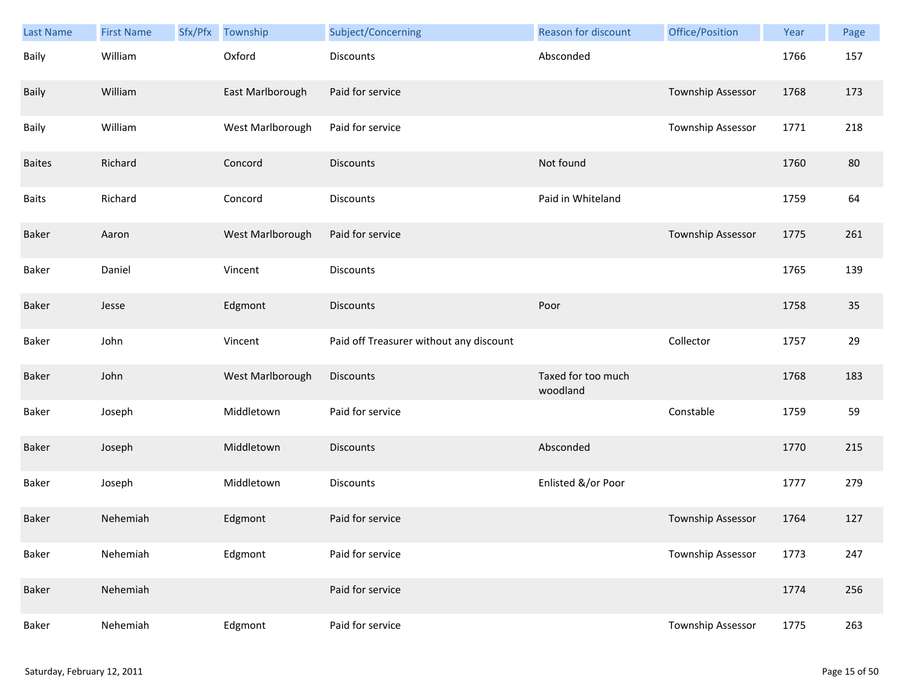| <b>Last Name</b> | <b>First Name</b> | Sfx/Pfx | Township         | Subject/Concerning                      | <b>Reason for discount</b>     | Office/Position   | Year | Page |
|------------------|-------------------|---------|------------------|-----------------------------------------|--------------------------------|-------------------|------|------|
| Baily            | William           |         | Oxford           | <b>Discounts</b>                        | Absconded                      |                   | 1766 | 157  |
| Baily            | William           |         | East Marlborough | Paid for service                        |                                | Township Assessor | 1768 | 173  |
| Baily            | William           |         | West Marlborough | Paid for service                        |                                | Township Assessor | 1771 | 218  |
| <b>Baites</b>    | Richard           |         | Concord          | <b>Discounts</b>                        | Not found                      |                   | 1760 | 80   |
| <b>Baits</b>     | Richard           |         | Concord          | <b>Discounts</b>                        | Paid in Whiteland              |                   | 1759 | 64   |
| Baker            | Aaron             |         | West Marlborough | Paid for service                        |                                | Township Assessor | 1775 | 261  |
| Baker            | Daniel            |         | Vincent          | <b>Discounts</b>                        |                                |                   | 1765 | 139  |
| Baker            | Jesse             |         | Edgmont          | <b>Discounts</b>                        | Poor                           |                   | 1758 | 35   |
| Baker            | John              |         | Vincent          | Paid off Treasurer without any discount |                                | Collector         | 1757 | 29   |
| Baker            | John              |         | West Marlborough | <b>Discounts</b>                        | Taxed for too much<br>woodland |                   | 1768 | 183  |
| Baker            | Joseph            |         | Middletown       | Paid for service                        |                                | Constable         | 1759 | 59   |
| Baker            | Joseph            |         | Middletown       | <b>Discounts</b>                        | Absconded                      |                   | 1770 | 215  |
| Baker            | Joseph            |         | Middletown       | Discounts                               | Enlisted &/or Poor             |                   | 1777 | 279  |
| Baker            | Nehemiah          |         | Edgmont          | Paid for service                        |                                | Township Assessor | 1764 | 127  |
| Baker            | Nehemiah          |         | Edgmont          | Paid for service                        |                                | Township Assessor | 1773 | 247  |
| <b>Baker</b>     | Nehemiah          |         |                  | Paid for service                        |                                |                   | 1774 | 256  |
| Baker            | Nehemiah          |         | Edgmont          | Paid for service                        |                                | Township Assessor | 1775 | 263  |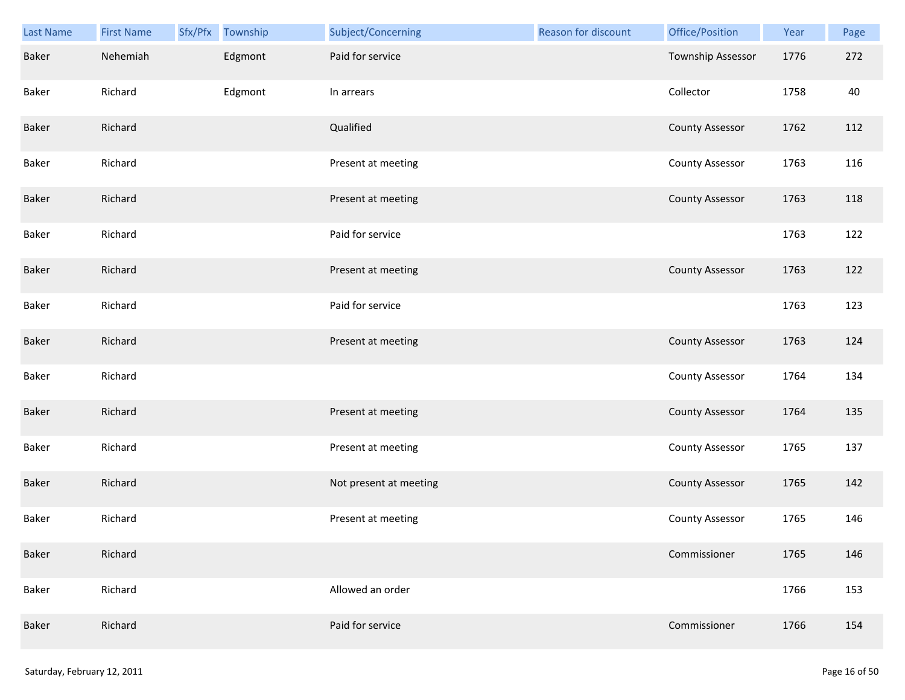| Last Name    | <b>First Name</b> | Sfx/Pfx Township | Subject/Concerning     | Reason for discount | Office/Position        | Year | Page |
|--------------|-------------------|------------------|------------------------|---------------------|------------------------|------|------|
| Baker        | Nehemiah          | Edgmont          | Paid for service       |                     | Township Assessor      | 1776 | 272  |
| Baker        | Richard           | Edgmont          | In arrears             |                     | Collector              | 1758 | 40   |
| Baker        | Richard           |                  | Qualified              |                     | <b>County Assessor</b> | 1762 | 112  |
| Baker        | Richard           |                  | Present at meeting     |                     | <b>County Assessor</b> | 1763 | 116  |
| Baker        | Richard           |                  | Present at meeting     |                     | <b>County Assessor</b> | 1763 | 118  |
| Baker        | Richard           |                  | Paid for service       |                     |                        | 1763 | 122  |
| Baker        | Richard           |                  | Present at meeting     |                     | <b>County Assessor</b> | 1763 | 122  |
| Baker        | Richard           |                  | Paid for service       |                     |                        | 1763 | 123  |
| Baker        | Richard           |                  | Present at meeting     |                     | <b>County Assessor</b> | 1763 | 124  |
| Baker        | Richard           |                  |                        |                     | <b>County Assessor</b> | 1764 | 134  |
| Baker        | Richard           |                  | Present at meeting     |                     | <b>County Assessor</b> | 1764 | 135  |
| Baker        | Richard           |                  | Present at meeting     |                     | <b>County Assessor</b> | 1765 | 137  |
| Baker        | Richard           |                  | Not present at meeting |                     | <b>County Assessor</b> | 1765 | 142  |
| Baker        | Richard           |                  | Present at meeting     |                     | <b>County Assessor</b> | 1765 | 146  |
| <b>Baker</b> | Richard           |                  |                        |                     | Commissioner           | 1765 | 146  |
| Baker        | Richard           |                  | Allowed an order       |                     |                        | 1766 | 153  |
| Baker        | Richard           |                  | Paid for service       |                     | Commissioner           | 1766 | 154  |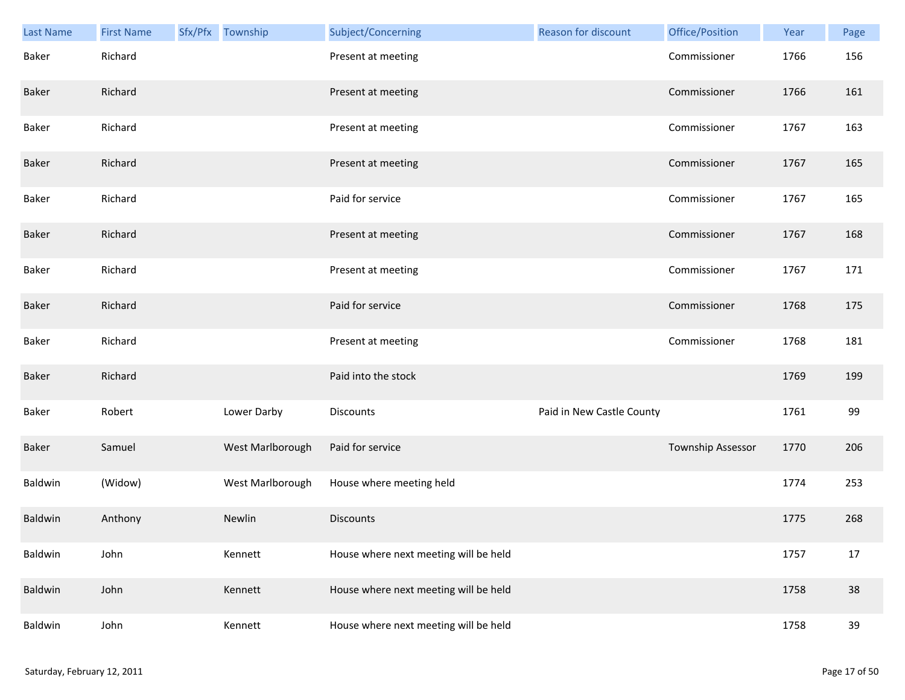| Last Name | <b>First Name</b> | Sfx/Pfx Township | Subject/Concerning                    | <b>Reason for discount</b> | Office/Position   | Year | Page |
|-----------|-------------------|------------------|---------------------------------------|----------------------------|-------------------|------|------|
| Baker     | Richard           |                  | Present at meeting                    |                            | Commissioner      | 1766 | 156  |
| Baker     | Richard           |                  | Present at meeting                    |                            | Commissioner      | 1766 | 161  |
| Baker     | Richard           |                  | Present at meeting                    |                            | Commissioner      | 1767 | 163  |
| Baker     | Richard           |                  | Present at meeting                    |                            | Commissioner      | 1767 | 165  |
| Baker     | Richard           |                  | Paid for service                      |                            | Commissioner      | 1767 | 165  |
| Baker     | Richard           |                  | Present at meeting                    |                            | Commissioner      | 1767 | 168  |
| Baker     | Richard           |                  | Present at meeting                    |                            | Commissioner      | 1767 | 171  |
| Baker     | Richard           |                  | Paid for service                      |                            | Commissioner      | 1768 | 175  |
| Baker     | Richard           |                  | Present at meeting                    |                            | Commissioner      | 1768 | 181  |
| Baker     | Richard           |                  | Paid into the stock                   |                            |                   | 1769 | 199  |
| Baker     | Robert            | Lower Darby      | <b>Discounts</b>                      | Paid in New Castle County  |                   | 1761 | 99   |
| Baker     | Samuel            | West Marlborough | Paid for service                      |                            | Township Assessor | 1770 | 206  |
| Baldwin   | (Widow)           | West Marlborough | House where meeting held              |                            |                   | 1774 | 253  |
| Baldwin   | Anthony           | Newlin           | <b>Discounts</b>                      |                            |                   | 1775 | 268  |
| Baldwin   | John              | Kennett          | House where next meeting will be held |                            |                   | 1757 | 17   |
| Baldwin   | John              | Kennett          | House where next meeting will be held |                            |                   | 1758 | 38   |
| Baldwin   | John              | Kennett          | House where next meeting will be held |                            |                   | 1758 | 39   |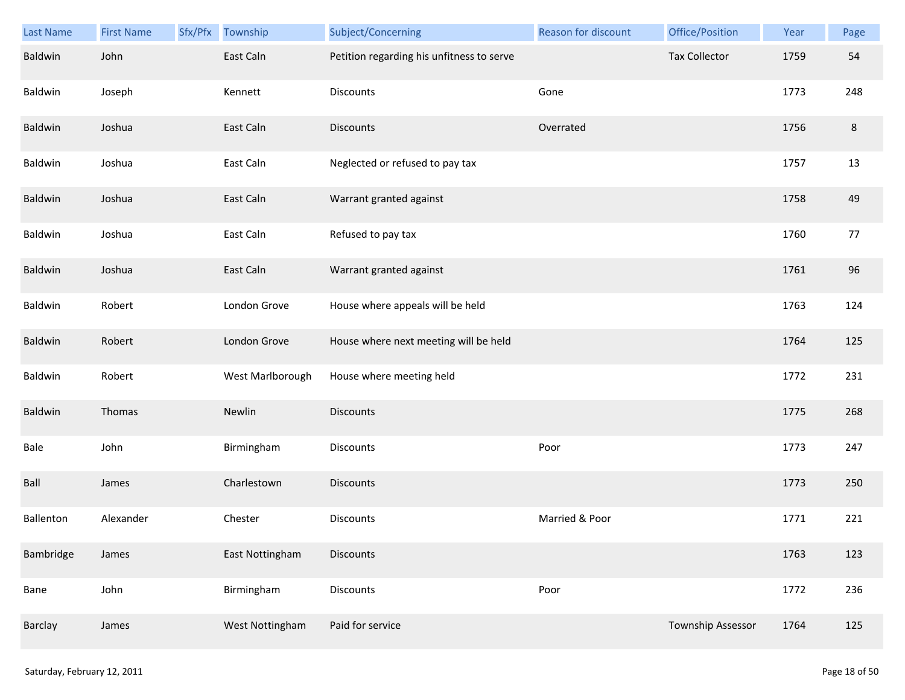| Last Name | <b>First Name</b> | Sfx/Pfx | Township         | Subject/Concerning                        | <b>Reason for discount</b> | Office/Position      | Year | Page    |
|-----------|-------------------|---------|------------------|-------------------------------------------|----------------------------|----------------------|------|---------|
| Baldwin   | John              |         | East Caln        | Petition regarding his unfitness to serve |                            | <b>Tax Collector</b> | 1759 | 54      |
| Baldwin   | Joseph            |         | Kennett          | Discounts                                 | Gone                       |                      | 1773 | 248     |
| Baldwin   | Joshua            |         | East Caln        | <b>Discounts</b>                          | Overrated                  |                      | 1756 | $\,8\,$ |
| Baldwin   | Joshua            |         | East Caln        | Neglected or refused to pay tax           |                            |                      | 1757 | 13      |
| Baldwin   | Joshua            |         | East Caln        | Warrant granted against                   |                            |                      | 1758 | 49      |
| Baldwin   | Joshua            |         | East Caln        | Refused to pay tax                        |                            |                      | 1760 | 77      |
| Baldwin   | Joshua            |         | East Caln        | Warrant granted against                   |                            |                      | 1761 | 96      |
| Baldwin   | Robert            |         | London Grove     | House where appeals will be held          |                            |                      | 1763 | 124     |
| Baldwin   | Robert            |         | London Grove     | House where next meeting will be held     |                            |                      | 1764 | 125     |
| Baldwin   | Robert            |         | West Marlborough | House where meeting held                  |                            |                      | 1772 | 231     |
| Baldwin   | Thomas            |         | Newlin           | <b>Discounts</b>                          |                            |                      | 1775 | 268     |
| Bale      | John              |         | Birmingham       | <b>Discounts</b>                          | Poor                       |                      | 1773 | 247     |
| Ball      | James             |         | Charlestown      | Discounts                                 |                            |                      | 1773 | 250     |
| Ballenton | Alexander         |         | Chester          | <b>Discounts</b>                          | Married & Poor             |                      | 1771 | 221     |
| Bambridge | James             |         | East Nottingham  | <b>Discounts</b>                          |                            |                      | 1763 | 123     |
| Bane      | John              |         | Birmingham       | <b>Discounts</b>                          | Poor                       |                      | 1772 | 236     |
| Barclay   | James             |         | West Nottingham  | Paid for service                          |                            | Township Assessor    | 1764 | 125     |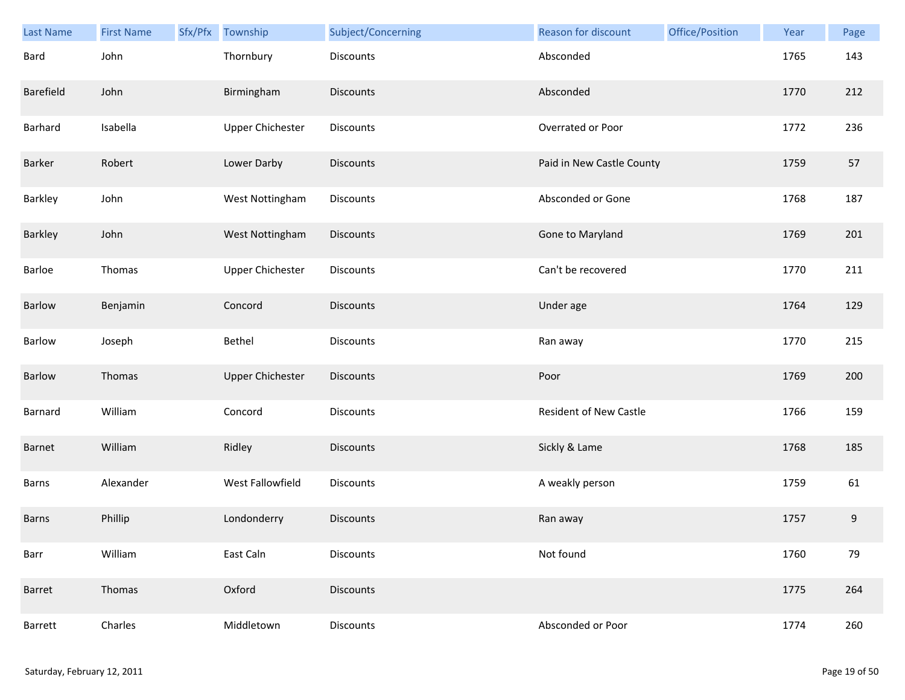| <b>Last Name</b> | <b>First Name</b> | Sfx/Pfx | Township                | Subject/Concerning | <b>Reason for discount</b> | Office/Position | Year | Page |
|------------------|-------------------|---------|-------------------------|--------------------|----------------------------|-----------------|------|------|
| Bard             | John              |         | Thornbury               | <b>Discounts</b>   | Absconded                  |                 | 1765 | 143  |
| Barefield        | John              |         | Birmingham              | <b>Discounts</b>   | Absconded                  |                 | 1770 | 212  |
| Barhard          | Isabella          |         | <b>Upper Chichester</b> | Discounts          | Overrated or Poor          |                 | 1772 | 236  |
| Barker           | Robert            |         | Lower Darby             | <b>Discounts</b>   | Paid in New Castle County  |                 | 1759 | 57   |
| Barkley          | John              |         | West Nottingham         | Discounts          | Absconded or Gone          |                 | 1768 | 187  |
| Barkley          | John              |         | West Nottingham         | Discounts          | Gone to Maryland           |                 | 1769 | 201  |
| Barloe           | Thomas            |         | <b>Upper Chichester</b> | Discounts          | Can't be recovered         |                 | 1770 | 211  |
| Barlow           | Benjamin          |         | Concord                 | Discounts          | Under age                  |                 | 1764 | 129  |
| Barlow           | Joseph            |         | Bethel                  | <b>Discounts</b>   | Ran away                   |                 | 1770 | 215  |
| Barlow           | Thomas            |         | <b>Upper Chichester</b> | <b>Discounts</b>   | Poor                       |                 | 1769 | 200  |
| Barnard          | William           |         | Concord                 | <b>Discounts</b>   | Resident of New Castle     |                 | 1766 | 159  |
| Barnet           | William           |         | Ridley                  | <b>Discounts</b>   | Sickly & Lame              |                 | 1768 | 185  |
| Barns            | Alexander         |         | West Fallowfield        | Discounts          | A weakly person            |                 | 1759 | 61   |
| Barns            | Phillip           |         | Londonderry             | <b>Discounts</b>   | Ran away                   |                 | 1757 | 9    |
| Barr             | William           |         | East Caln               | Discounts          | Not found                  |                 | 1760 | 79   |
| Barret           | Thomas            |         | Oxford                  | <b>Discounts</b>   |                            |                 | 1775 | 264  |
| Barrett          | Charles           |         | Middletown              | Discounts          | Absconded or Poor          |                 | 1774 | 260  |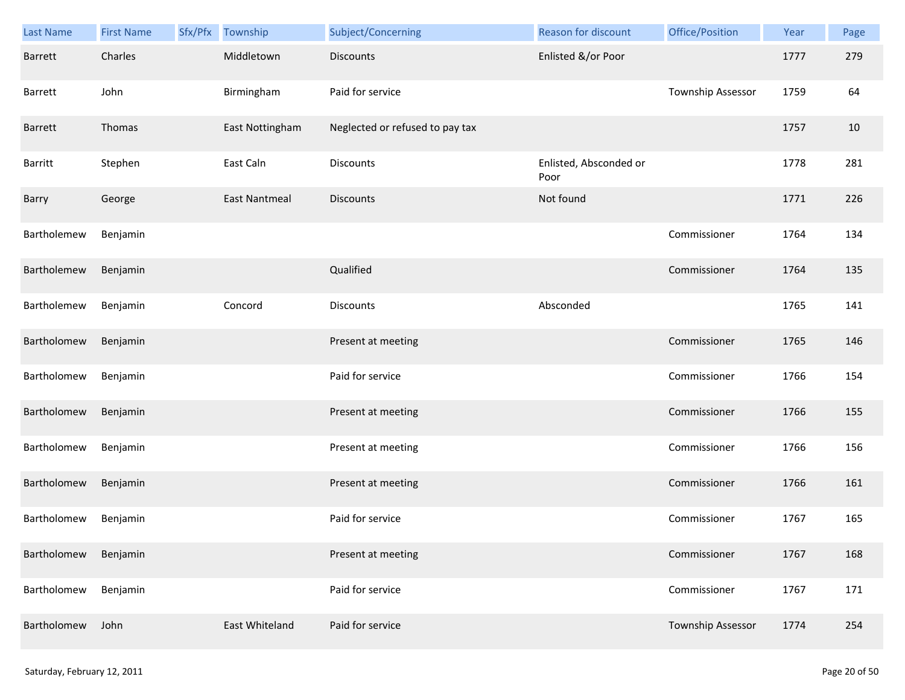| <b>Last Name</b> | <b>First Name</b> | Sfx/Pfx | Township             | Subject/Concerning              | Reason for discount            | Office/Position   | Year | Page |
|------------------|-------------------|---------|----------------------|---------------------------------|--------------------------------|-------------------|------|------|
| <b>Barrett</b>   | Charles           |         | Middletown           | Discounts                       | Enlisted &/or Poor             |                   | 1777 | 279  |
| Barrett          | John              |         | Birmingham           | Paid for service                |                                | Township Assessor | 1759 | 64   |
| Barrett          | Thomas            |         | East Nottingham      | Neglected or refused to pay tax |                                |                   | 1757 | 10   |
| <b>Barritt</b>   | Stephen           |         | East Caln            | Discounts                       | Enlisted, Absconded or<br>Poor |                   | 1778 | 281  |
| Barry            | George            |         | <b>East Nantmeal</b> | Discounts                       | Not found                      |                   | 1771 | 226  |
| Bartholemew      | Benjamin          |         |                      |                                 |                                | Commissioner      | 1764 | 134  |
| Bartholemew      | Benjamin          |         |                      | Qualified                       |                                | Commissioner      | 1764 | 135  |
| Bartholemew      | Benjamin          |         | Concord              | Discounts                       | Absconded                      |                   | 1765 | 141  |
| Bartholomew      | Benjamin          |         |                      | Present at meeting              |                                | Commissioner      | 1765 | 146  |
| Bartholomew      | Benjamin          |         |                      | Paid for service                |                                | Commissioner      | 1766 | 154  |
| Bartholomew      | Benjamin          |         |                      | Present at meeting              |                                | Commissioner      | 1766 | 155  |
| Bartholomew      | Benjamin          |         |                      | Present at meeting              |                                | Commissioner      | 1766 | 156  |
| Bartholomew      | Benjamin          |         |                      | Present at meeting              |                                | Commissioner      | 1766 | 161  |
| Bartholomew      | Benjamin          |         |                      | Paid for service                |                                | Commissioner      | 1767 | 165  |
| Bartholomew      | Benjamin          |         |                      | Present at meeting              |                                | Commissioner      | 1767 | 168  |
| Bartholomew      | Benjamin          |         |                      | Paid for service                |                                | Commissioner      | 1767 | 171  |
| Bartholomew      | John              |         | East Whiteland       | Paid for service                |                                | Township Assessor | 1774 | 254  |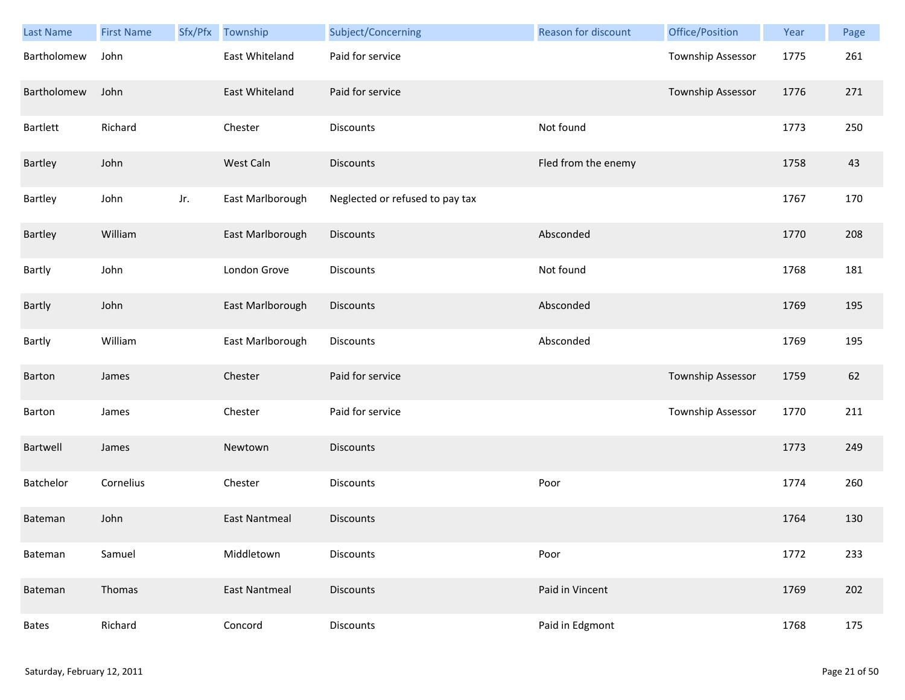| Last Name    | <b>First Name</b> | Sfx/Pfx | Township             | Subject/Concerning              | <b>Reason for discount</b> | Office/Position          | Year | Page |
|--------------|-------------------|---------|----------------------|---------------------------------|----------------------------|--------------------------|------|------|
| Bartholomew  | John              |         | East Whiteland       | Paid for service                |                            | Township Assessor        | 1775 | 261  |
| Bartholomew  | John              |         | East Whiteland       | Paid for service                |                            | <b>Township Assessor</b> | 1776 | 271  |
| Bartlett     | Richard           |         | Chester              | Discounts                       | Not found                  |                          | 1773 | 250  |
| Bartley      | John              |         | West Caln            | <b>Discounts</b>                | Fled from the enemy        |                          | 1758 | 43   |
| Bartley      | John              | Jr.     | East Marlborough     | Neglected or refused to pay tax |                            |                          | 1767 | 170  |
| Bartley      | William           |         | East Marlborough     | Discounts                       | Absconded                  |                          | 1770 | 208  |
| Bartly       | John              |         | London Grove         | Discounts                       | Not found                  |                          | 1768 | 181  |
| Bartly       | John              |         | East Marlborough     | <b>Discounts</b>                | Absconded                  |                          | 1769 | 195  |
| Bartly       | William           |         | East Marlborough     | <b>Discounts</b>                | Absconded                  |                          | 1769 | 195  |
| Barton       | James             |         | Chester              | Paid for service                |                            | Township Assessor        | 1759 | 62   |
| Barton       | James             |         | Chester              | Paid for service                |                            | Township Assessor        | 1770 | 211  |
| Bartwell     | James             |         | Newtown              | <b>Discounts</b>                |                            |                          | 1773 | 249  |
| Batchelor    | Cornelius         |         | Chester              | Discounts                       | Poor                       |                          | 1774 | 260  |
| Bateman      | John              |         | <b>East Nantmeal</b> | <b>Discounts</b>                |                            |                          | 1764 | 130  |
| Bateman      | Samuel            |         | Middletown           | Discounts                       | Poor                       |                          | 1772 | 233  |
| Bateman      | Thomas            |         | <b>East Nantmeal</b> | <b>Discounts</b>                | Paid in Vincent            |                          | 1769 | 202  |
| <b>Bates</b> | Richard           |         | Concord              | <b>Discounts</b>                | Paid in Edgmont            |                          | 1768 | 175  |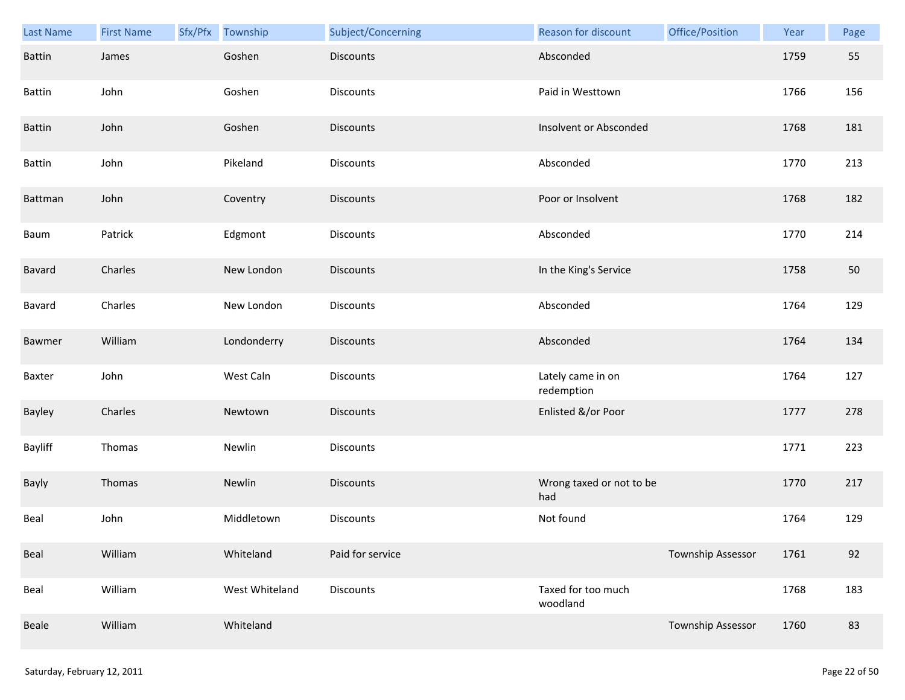| Last Name     | <b>First Name</b> | Sfx/Pfx | Township       | Subject/Concerning | Reason for discount             | Office/Position          | Year | Page |
|---------------|-------------------|---------|----------------|--------------------|---------------------------------|--------------------------|------|------|
| Battin        | James             |         | Goshen         | <b>Discounts</b>   | Absconded                       |                          | 1759 | 55   |
| Battin        | John              |         | Goshen         | Discounts          | Paid in Westtown                |                          | 1766 | 156  |
| Battin        | John              |         | Goshen         | <b>Discounts</b>   | Insolvent or Absconded          |                          | 1768 | 181  |
| <b>Battin</b> | John              |         | Pikeland       | Discounts          | Absconded                       |                          | 1770 | 213  |
| Battman       | John              |         | Coventry       | <b>Discounts</b>   | Poor or Insolvent               |                          | 1768 | 182  |
| Baum          | Patrick           |         | Edgmont        | Discounts          | Absconded                       |                          | 1770 | 214  |
| Bavard        | Charles           |         | New London     | <b>Discounts</b>   | In the King's Service           |                          | 1758 | 50   |
| Bavard        | Charles           |         | New London     | Discounts          | Absconded                       |                          | 1764 | 129  |
| Bawmer        | William           |         | Londonderry    | <b>Discounts</b>   | Absconded                       |                          | 1764 | 134  |
| Baxter        | John              |         | West Caln      | Discounts          | Lately came in on<br>redemption |                          | 1764 | 127  |
| Bayley        | Charles           |         | Newtown        | <b>Discounts</b>   | Enlisted &/or Poor              |                          | 1777 | 278  |
| Bayliff       | Thomas            |         | Newlin         | Discounts          |                                 |                          | 1771 | 223  |
| Bayly         | Thomas            |         | Newlin         | <b>Discounts</b>   | Wrong taxed or not to be<br>had |                          | 1770 | 217  |
| Beal          | John              |         | Middletown     | Discounts          | Not found                       |                          | 1764 | 129  |
| Beal          | William           |         | Whiteland      | Paid for service   |                                 | <b>Township Assessor</b> | 1761 | 92   |
| Beal          | William           |         | West Whiteland | Discounts          | Taxed for too much<br>woodland  |                          | 1768 | 183  |
| Beale         | William           |         | Whiteland      |                    |                                 | Township Assessor        | 1760 | 83   |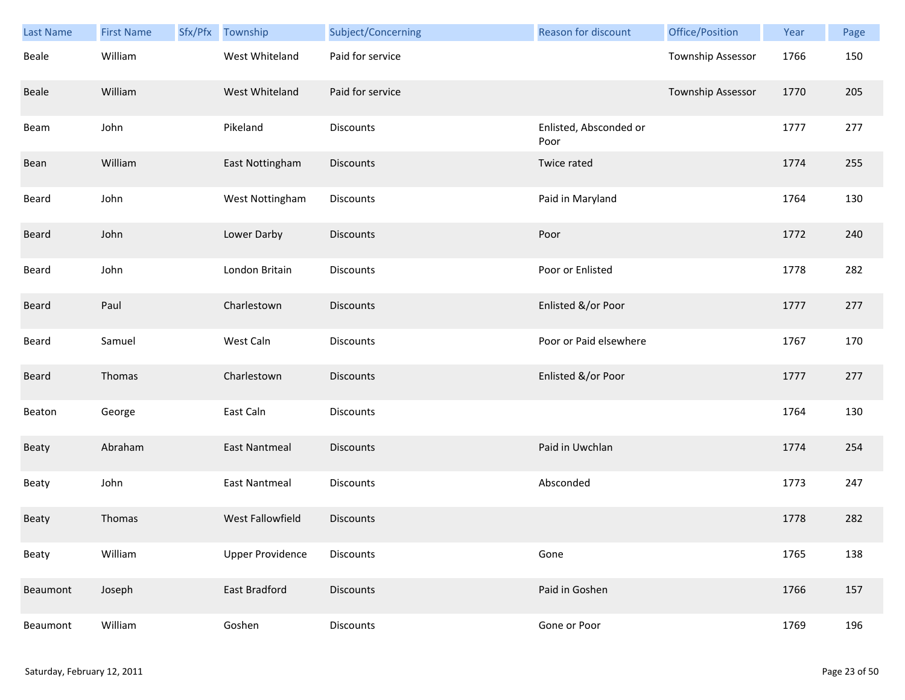| Last Name | <b>First Name</b> | Sfx/Pfx Township        | Subject/Concerning | <b>Reason for discount</b>     | Office/Position          | Year | Page |
|-----------|-------------------|-------------------------|--------------------|--------------------------------|--------------------------|------|------|
| Beale     | William           | West Whiteland          | Paid for service   |                                | <b>Township Assessor</b> | 1766 | 150  |
| Beale     | William           | West Whiteland          | Paid for service   |                                | <b>Township Assessor</b> | 1770 | 205  |
| Beam      | John              | Pikeland                | Discounts          | Enlisted, Absconded or<br>Poor |                          | 1777 | 277  |
| Bean      | William           | East Nottingham         | Discounts          | Twice rated                    |                          | 1774 | 255  |
| Beard     | John              | West Nottingham         | Discounts          | Paid in Maryland               |                          | 1764 | 130  |
| Beard     | John              | Lower Darby             | <b>Discounts</b>   | Poor                           |                          | 1772 | 240  |
| Beard     | John              | London Britain          | Discounts          | Poor or Enlisted               |                          | 1778 | 282  |
| Beard     | Paul              | Charlestown             | Discounts          | Enlisted &/or Poor             |                          | 1777 | 277  |
| Beard     | Samuel            | West Caln               | Discounts          | Poor or Paid elsewhere         |                          | 1767 | 170  |
| Beard     | Thomas            | Charlestown             | <b>Discounts</b>   | Enlisted &/or Poor             |                          | 1777 | 277  |
| Beaton    | George            | East Caln               | Discounts          |                                |                          | 1764 | 130  |
| Beaty     | Abraham           | <b>East Nantmeal</b>    | <b>Discounts</b>   | Paid in Uwchlan                |                          | 1774 | 254  |
| Beaty     | John              | <b>East Nantmeal</b>    | Discounts          | Absconded                      |                          | 1773 | 247  |
| Beaty     | Thomas            | West Fallowfield        | Discounts          |                                |                          | 1778 | 282  |
| Beaty     | William           | <b>Upper Providence</b> | Discounts          | Gone                           |                          | 1765 | 138  |
| Beaumont  | Joseph            | East Bradford           | <b>Discounts</b>   | Paid in Goshen                 |                          | 1766 | 157  |
| Beaumont  | William           | Goshen                  | <b>Discounts</b>   | Gone or Poor                   |                          | 1769 | 196  |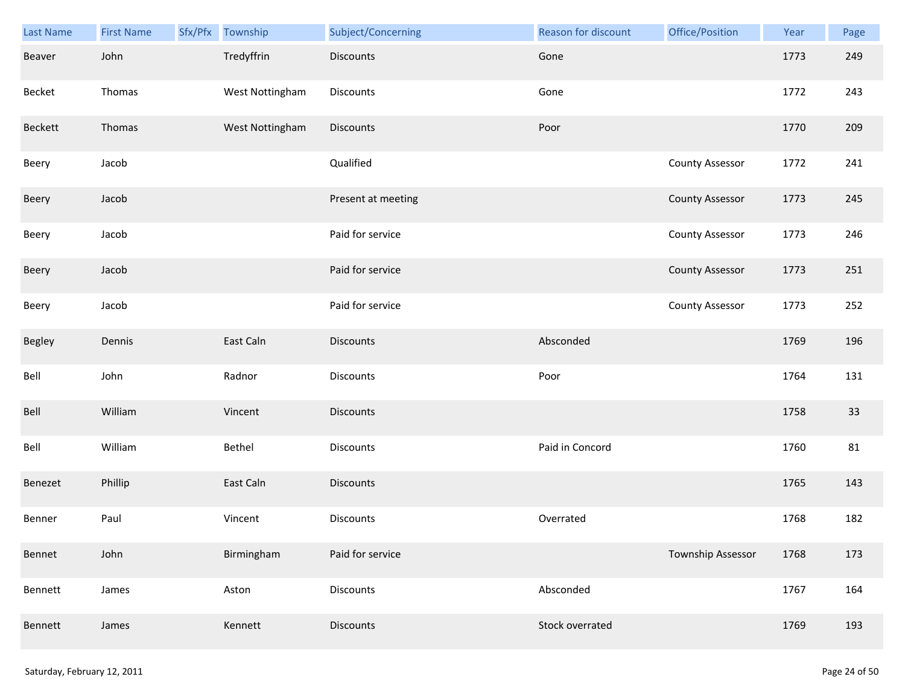| Last Name      | <b>First Name</b> | Sfx/Pfx Township | Subject/Concerning | Reason for discount | Office/Position        | Year | Page |
|----------------|-------------------|------------------|--------------------|---------------------|------------------------|------|------|
| Beaver         | John              | Tredyffrin       | <b>Discounts</b>   | Gone                |                        | 1773 | 249  |
| Becket         | Thomas            | West Nottingham  | Discounts          | Gone                |                        | 1772 | 243  |
| <b>Beckett</b> | Thomas            | West Nottingham  | Discounts          | Poor                |                        | 1770 | 209  |
| Beery          | Jacob             |                  | Qualified          |                     | <b>County Assessor</b> | 1772 | 241  |
| Beery          | Jacob             |                  | Present at meeting |                     | <b>County Assessor</b> | 1773 | 245  |
| Beery          | Jacob             |                  | Paid for service   |                     | <b>County Assessor</b> | 1773 | 246  |
| Beery          | Jacob             |                  | Paid for service   |                     | <b>County Assessor</b> | 1773 | 251  |
| Beery          | Jacob             |                  | Paid for service   |                     | <b>County Assessor</b> | 1773 | 252  |
| Begley         | Dennis            | East Caln        | <b>Discounts</b>   | Absconded           |                        | 1769 | 196  |
| Bell           | John              | Radnor           | Discounts          | Poor                |                        | 1764 | 131  |
| Bell           | William           | Vincent          | Discounts          |                     |                        | 1758 | 33   |
| Bell           | William           | Bethel           | Discounts          | Paid in Concord     |                        | 1760 | 81   |
| Benezet        | Phillip           | East Caln        | Discounts          |                     |                        | 1765 | 143  |
| Benner         | Paul              | Vincent          | Discounts          | Overrated           |                        | 1768 | 182  |
| Bennet         | John              | Birmingham       | Paid for service   |                     | Township Assessor      | 1768 | 173  |
| Bennett        | James             | Aston            | <b>Discounts</b>   | Absconded           |                        | 1767 | 164  |
| Bennett        | James             | Kennett          | Discounts          | Stock overrated     |                        | 1769 | 193  |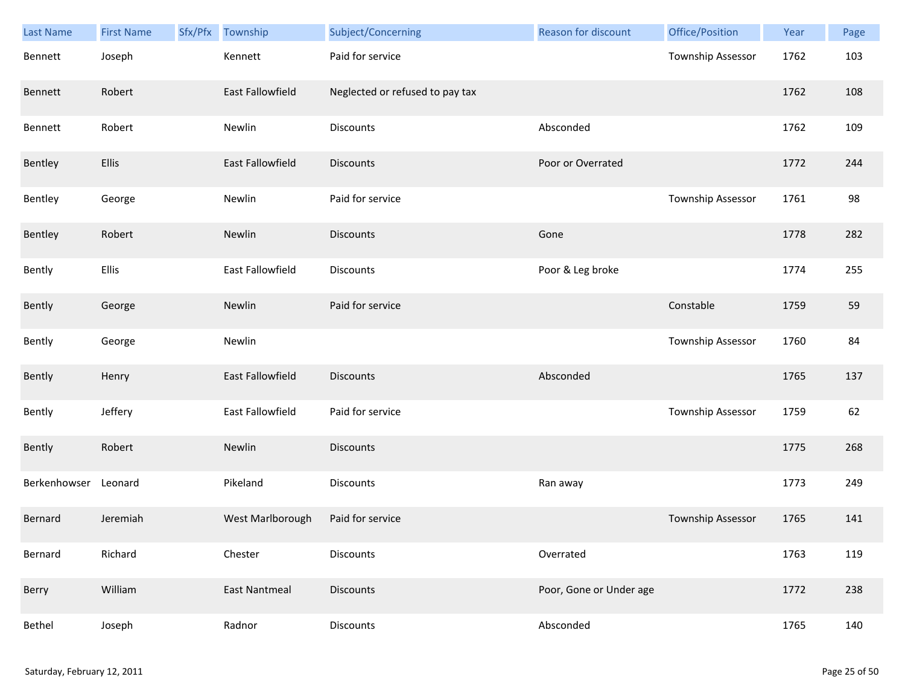| Last Name    | <b>First Name</b> | Sfx/Pfx | Township                | Subject/Concerning              | Reason for discount     | Office/Position   | Year | Page |
|--------------|-------------------|---------|-------------------------|---------------------------------|-------------------------|-------------------|------|------|
| Bennett      | Joseph            |         | Kennett                 | Paid for service                |                         | Township Assessor | 1762 | 103  |
| Bennett      | Robert            |         | East Fallowfield        | Neglected or refused to pay tax |                         |                   | 1762 | 108  |
| Bennett      | Robert            |         | Newlin                  | Discounts                       | Absconded               |                   | 1762 | 109  |
| Bentley      | <b>Ellis</b>      |         | <b>East Fallowfield</b> | <b>Discounts</b>                | Poor or Overrated       |                   | 1772 | 244  |
| Bentley      | George            |         | Newlin                  | Paid for service                |                         | Township Assessor | 1761 | 98   |
| Bentley      | Robert            |         | Newlin                  | <b>Discounts</b>                | Gone                    |                   | 1778 | 282  |
| Bently       | Ellis             |         | East Fallowfield        | Discounts                       | Poor & Leg broke        |                   | 1774 | 255  |
| Bently       | George            |         | Newlin                  | Paid for service                |                         | Constable         | 1759 | 59   |
| Bently       | George            |         | Newlin                  |                                 |                         | Township Assessor | 1760 | 84   |
| Bently       | Henry             |         | East Fallowfield        | <b>Discounts</b>                | Absconded               |                   | 1765 | 137  |
| Bently       | Jeffery           |         | East Fallowfield        | Paid for service                |                         | Township Assessor | 1759 | 62   |
| Bently       | Robert            |         | Newlin                  | <b>Discounts</b>                |                         |                   | 1775 | 268  |
| Berkenhowser | Leonard           |         | Pikeland                | Discounts                       | Ran away                |                   | 1773 | 249  |
| Bernard      | Jeremiah          |         | West Marlborough        | Paid for service                |                         | Township Assessor | 1765 | 141  |
| Bernard      | Richard           |         | Chester                 | Discounts                       | Overrated               |                   | 1763 | 119  |
| Berry        | William           |         | <b>East Nantmeal</b>    | <b>Discounts</b>                | Poor, Gone or Under age |                   | 1772 | 238  |
| Bethel       | Joseph            |         | Radnor                  | <b>Discounts</b>                | Absconded               |                   | 1765 | 140  |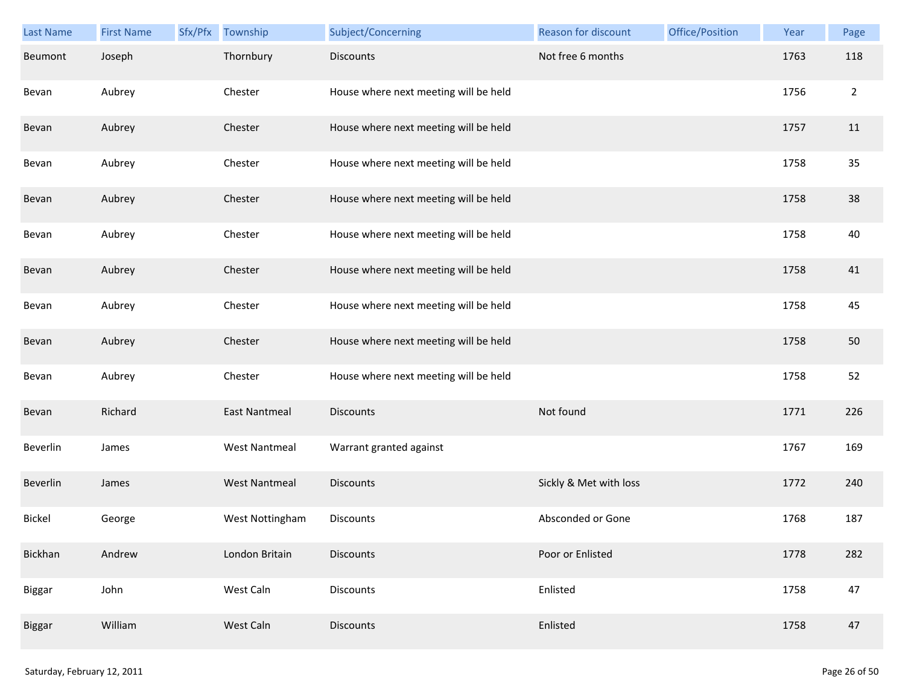| <b>Last Name</b> | <b>First Name</b> | Sfx/Pfx | Township             | Subject/Concerning                    | Reason for discount    | Office/Position | Year | Page           |
|------------------|-------------------|---------|----------------------|---------------------------------------|------------------------|-----------------|------|----------------|
| Beumont          | Joseph            |         | Thornbury            | <b>Discounts</b>                      | Not free 6 months      |                 | 1763 | 118            |
| Bevan            | Aubrey            |         | Chester              | House where next meeting will be held |                        |                 | 1756 | $\overline{2}$ |
| Bevan            | Aubrey            |         | Chester              | House where next meeting will be held |                        |                 | 1757 | 11             |
| Bevan            | Aubrey            |         | Chester              | House where next meeting will be held |                        |                 | 1758 | 35             |
| Bevan            | Aubrey            |         | Chester              | House where next meeting will be held |                        |                 | 1758 | 38             |
| Bevan            | Aubrey            |         | Chester              | House where next meeting will be held |                        |                 | 1758 | 40             |
| Bevan            | Aubrey            |         | Chester              | House where next meeting will be held |                        |                 | 1758 | 41             |
| Bevan            | Aubrey            |         | Chester              | House where next meeting will be held |                        |                 | 1758 | 45             |
| Bevan            | Aubrey            |         | Chester              | House where next meeting will be held |                        |                 | 1758 | 50             |
| Bevan            | Aubrey            |         | Chester              | House where next meeting will be held |                        |                 | 1758 | 52             |
| Bevan            | Richard           |         | <b>East Nantmeal</b> | <b>Discounts</b>                      | Not found              |                 | 1771 | 226            |
| Beverlin         | James             |         | <b>West Nantmeal</b> | Warrant granted against               |                        |                 | 1767 | 169            |
| Beverlin         | James             |         | <b>West Nantmeal</b> | <b>Discounts</b>                      | Sickly & Met with loss |                 | 1772 | 240            |
| <b>Bickel</b>    | George            |         | West Nottingham      | Discounts                             | Absconded or Gone      |                 | 1768 | 187            |
| Bickhan          | Andrew            |         | London Britain       | <b>Discounts</b>                      | Poor or Enlisted       |                 | 1778 | 282            |
| Biggar           | John              |         | West Caln            | Discounts                             | Enlisted               |                 | 1758 | 47             |
| Biggar           | William           |         | West Caln            | <b>Discounts</b>                      | Enlisted               |                 | 1758 | 47             |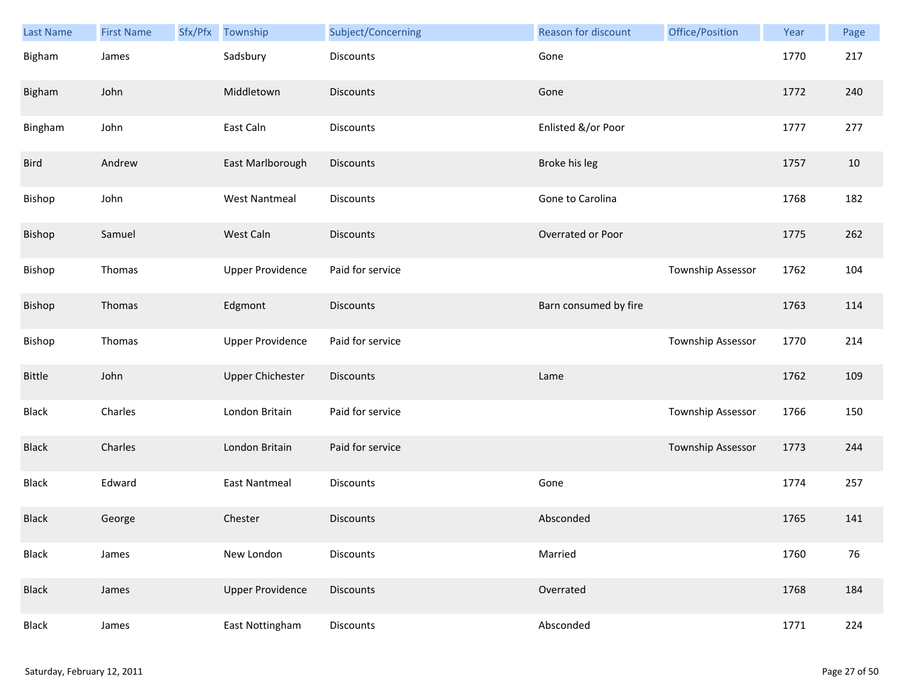| <b>Last Name</b> | <b>First Name</b> | Sfx/Pfx | Township                | Subject/Concerning | <b>Reason for discount</b> | Office/Position          | Year | Page |
|------------------|-------------------|---------|-------------------------|--------------------|----------------------------|--------------------------|------|------|
| Bigham           | James             |         | Sadsbury                | <b>Discounts</b>   | Gone                       |                          | 1770 | 217  |
| Bigham           | John              |         | Middletown              | <b>Discounts</b>   | Gone                       |                          | 1772 | 240  |
| Bingham          | John              |         | East Caln               | Discounts          | Enlisted &/or Poor         |                          | 1777 | 277  |
| Bird             | Andrew            |         | East Marlborough        | Discounts          | Broke his leg              |                          | 1757 | 10   |
| Bishop           | John              |         | <b>West Nantmeal</b>    | <b>Discounts</b>   | Gone to Carolina           |                          | 1768 | 182  |
| Bishop           | Samuel            |         | West Caln               | <b>Discounts</b>   | Overrated or Poor          |                          | 1775 | 262  |
| Bishop           | Thomas            |         | <b>Upper Providence</b> | Paid for service   |                            | Township Assessor        | 1762 | 104  |
| Bishop           | Thomas            |         | Edgmont                 | <b>Discounts</b>   | Barn consumed by fire      |                          | 1763 | 114  |
| Bishop           | Thomas            |         | <b>Upper Providence</b> | Paid for service   |                            | Township Assessor        | 1770 | 214  |
| <b>Bittle</b>    | John              |         | <b>Upper Chichester</b> | <b>Discounts</b>   | Lame                       |                          | 1762 | 109  |
| <b>Black</b>     | Charles           |         | London Britain          | Paid for service   |                            | <b>Township Assessor</b> | 1766 | 150  |
| <b>Black</b>     | Charles           |         | London Britain          | Paid for service   |                            | <b>Township Assessor</b> | 1773 | 244  |
| Black            | Edward            |         | <b>East Nantmeal</b>    | Discounts          | Gone                       |                          | 1774 | 257  |
| <b>Black</b>     | George            |         | Chester                 | <b>Discounts</b>   | Absconded                  |                          | 1765 | 141  |
| Black            | James             |         | New London              | Discounts          | Married                    |                          | 1760 | 76   |
| <b>Black</b>     | James             |         | <b>Upper Providence</b> | Discounts          | Overrated                  |                          | 1768 | 184  |
| Black            | James             |         | East Nottingham         | Discounts          | Absconded                  |                          | 1771 | 224  |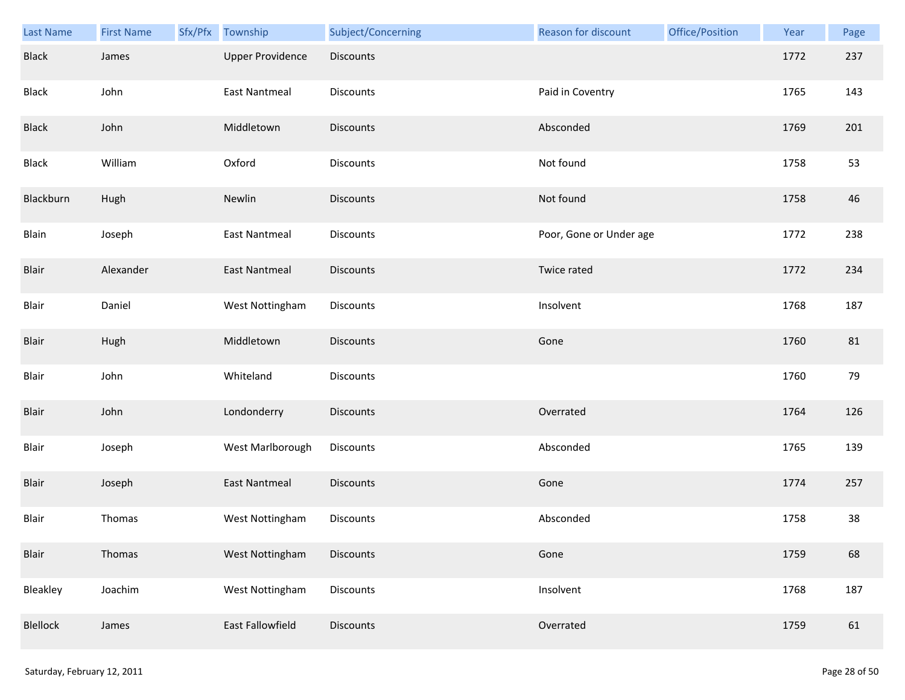| Last Name       | <b>First Name</b> | Sfx/Pfx | Township                | Subject/Concerning | <b>Reason for discount</b> | Office/Position | Year | Page |
|-----------------|-------------------|---------|-------------------------|--------------------|----------------------------|-----------------|------|------|
| <b>Black</b>    | James             |         | <b>Upper Providence</b> | Discounts          |                            |                 | 1772 | 237  |
| Black           | John              |         | <b>East Nantmeal</b>    | Discounts          | Paid in Coventry           |                 | 1765 | 143  |
| <b>Black</b>    | John              |         | Middletown              | <b>Discounts</b>   | Absconded                  |                 | 1769 | 201  |
| Black           | William           |         | Oxford                  | Discounts          | Not found                  |                 | 1758 | 53   |
| Blackburn       | Hugh              |         | Newlin                  | <b>Discounts</b>   | Not found                  |                 | 1758 | 46   |
| Blain           | Joseph            |         | <b>East Nantmeal</b>    | Discounts          | Poor, Gone or Under age    |                 | 1772 | 238  |
| Blair           | Alexander         |         | <b>East Nantmeal</b>    | Discounts          | Twice rated                |                 | 1772 | 234  |
| Blair           | Daniel            |         | West Nottingham         | Discounts          | Insolvent                  |                 | 1768 | 187  |
| Blair           | Hugh              |         | Middletown              | Discounts          | Gone                       |                 | 1760 | 81   |
| Blair           | John              |         | Whiteland               | <b>Discounts</b>   |                            |                 | 1760 | 79   |
| Blair           | John              |         | Londonderry             | <b>Discounts</b>   | Overrated                  |                 | 1764 | 126  |
| Blair           | Joseph            |         | West Marlborough        | Discounts          | Absconded                  |                 | 1765 | 139  |
| Blair           | Joseph            |         | <b>East Nantmeal</b>    | Discounts          | Gone                       |                 | 1774 | 257  |
| Blair           | Thomas            |         | West Nottingham         | Discounts          | Absconded                  |                 | 1758 | 38   |
| Blair           | Thomas            |         | West Nottingham         | <b>Discounts</b>   | Gone                       |                 | 1759 | 68   |
| Bleakley        | Joachim           |         | West Nottingham         | <b>Discounts</b>   | Insolvent                  |                 | 1768 | 187  |
| <b>Blellock</b> | James             |         | East Fallowfield        | Discounts          | Overrated                  |                 | 1759 | 61   |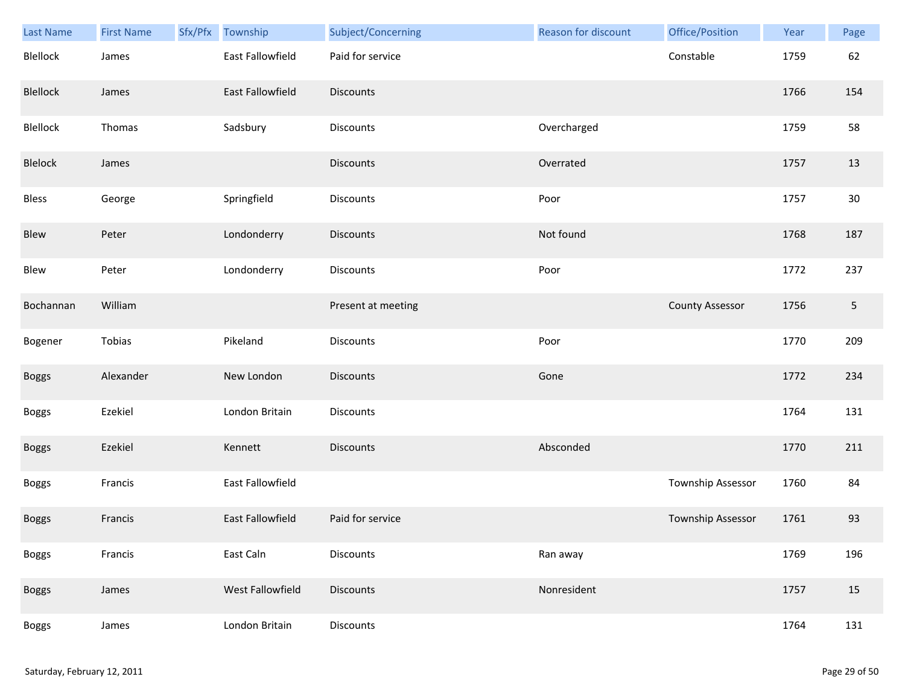| <b>Last Name</b> | <b>First Name</b> | Sfx/Pfx | Township         | Subject/Concerning | <b>Reason for discount</b> | Office/Position        | Year | Page       |
|------------------|-------------------|---------|------------------|--------------------|----------------------------|------------------------|------|------------|
| Blellock         | James             |         | East Fallowfield | Paid for service   |                            | Constable              | 1759 | 62         |
| Blellock         | James             |         | East Fallowfield | <b>Discounts</b>   |                            |                        | 1766 | 154        |
| Blellock         | Thomas            |         | Sadsbury         | Discounts          | Overcharged                |                        | 1759 | 58         |
| Blelock          | James             |         |                  | <b>Discounts</b>   | Overrated                  |                        | 1757 | 13         |
| Bless            | George            |         | Springfield      | Discounts          | Poor                       |                        | 1757 | $30\,$     |
| Blew             | Peter             |         | Londonderry      | <b>Discounts</b>   | Not found                  |                        | 1768 | 187        |
| Blew             | Peter             |         | Londonderry      | Discounts          | Poor                       |                        | 1772 | 237        |
| Bochannan        | William           |         |                  | Present at meeting |                            | <b>County Assessor</b> | 1756 | $\sqrt{5}$ |
| Bogener          | Tobias            |         | Pikeland         | <b>Discounts</b>   | Poor                       |                        | 1770 | 209        |
| <b>Boggs</b>     | Alexander         |         | New London       | <b>Discounts</b>   | Gone                       |                        | 1772 | 234        |
| <b>Boggs</b>     | Ezekiel           |         | London Britain   | <b>Discounts</b>   |                            |                        | 1764 | 131        |
| <b>Boggs</b>     | Ezekiel           |         | Kennett          | <b>Discounts</b>   | Absconded                  |                        | 1770 | 211        |
| <b>Boggs</b>     | Francis           |         | East Fallowfield |                    |                            | Township Assessor      | 1760 | 84         |
| <b>Boggs</b>     | Francis           |         | East Fallowfield | Paid for service   |                            | Township Assessor      | 1761 | 93         |
| <b>Boggs</b>     | Francis           |         | East Caln        | Discounts          | Ran away                   |                        | 1769 | 196        |
| <b>Boggs</b>     | James             |         | West Fallowfield | Discounts          | Nonresident                |                        | 1757 | 15         |
| <b>Boggs</b>     | James             |         | London Britain   | Discounts          |                            |                        | 1764 | 131        |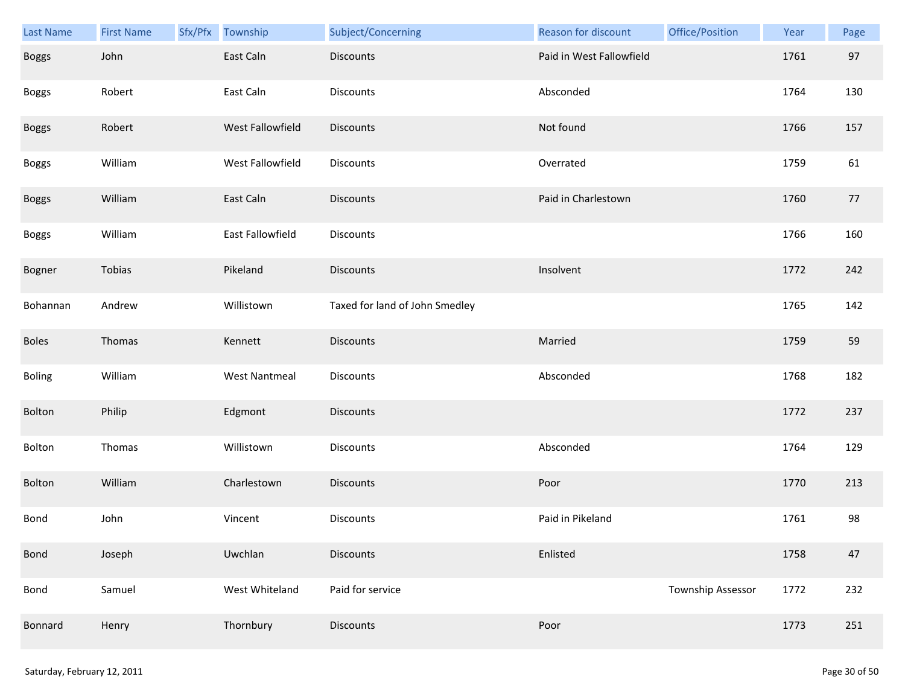| Last Name    | <b>First Name</b> | Sfx/Pfx | Township             | Subject/Concerning             | Reason for discount      | Office/Position   | Year | Page |
|--------------|-------------------|---------|----------------------|--------------------------------|--------------------------|-------------------|------|------|
| <b>Boggs</b> | John              |         | East Caln            | <b>Discounts</b>               | Paid in West Fallowfield |                   | 1761 | 97   |
| <b>Boggs</b> | Robert            |         | East Caln            | Discounts                      | Absconded                |                   | 1764 | 130  |
| <b>Boggs</b> | Robert            |         | West Fallowfield     | Discounts                      | Not found                |                   | 1766 | 157  |
| <b>Boggs</b> | William           |         | West Fallowfield     | Discounts                      | Overrated                |                   | 1759 | 61   |
| <b>Boggs</b> | William           |         | East Caln            | <b>Discounts</b>               | Paid in Charlestown      |                   | 1760 | 77   |
| <b>Boggs</b> | William           |         | East Fallowfield     | Discounts                      |                          |                   | 1766 | 160  |
| Bogner       | Tobias            |         | Pikeland             | <b>Discounts</b>               | Insolvent                |                   | 1772 | 242  |
| Bohannan     | Andrew            |         | Willistown           | Taxed for land of John Smedley |                          |                   | 1765 | 142  |
| <b>Boles</b> | Thomas            |         | Kennett              | <b>Discounts</b>               | Married                  |                   | 1759 | 59   |
| Boling       | William           |         | <b>West Nantmeal</b> | Discounts                      | Absconded                |                   | 1768 | 182  |
| Bolton       | Philip            |         | Edgmont              | Discounts                      |                          |                   | 1772 | 237  |
| Bolton       | Thomas            |         | Willistown           | Discounts                      | Absconded                |                   | 1764 | 129  |
| Bolton       | William           |         | Charlestown          | <b>Discounts</b>               | Poor                     |                   | 1770 | 213  |
| Bond         | John              |         | Vincent              | <b>Discounts</b>               | Paid in Pikeland         |                   | 1761 | 98   |
| Bond         | Joseph            |         | Uwchlan              | <b>Discounts</b>               | Enlisted                 |                   | 1758 | 47   |
| Bond         | Samuel            |         | West Whiteland       | Paid for service               |                          | Township Assessor | 1772 | 232  |
| Bonnard      | Henry             |         | Thornbury            | <b>Discounts</b>               | Poor                     |                   | 1773 | 251  |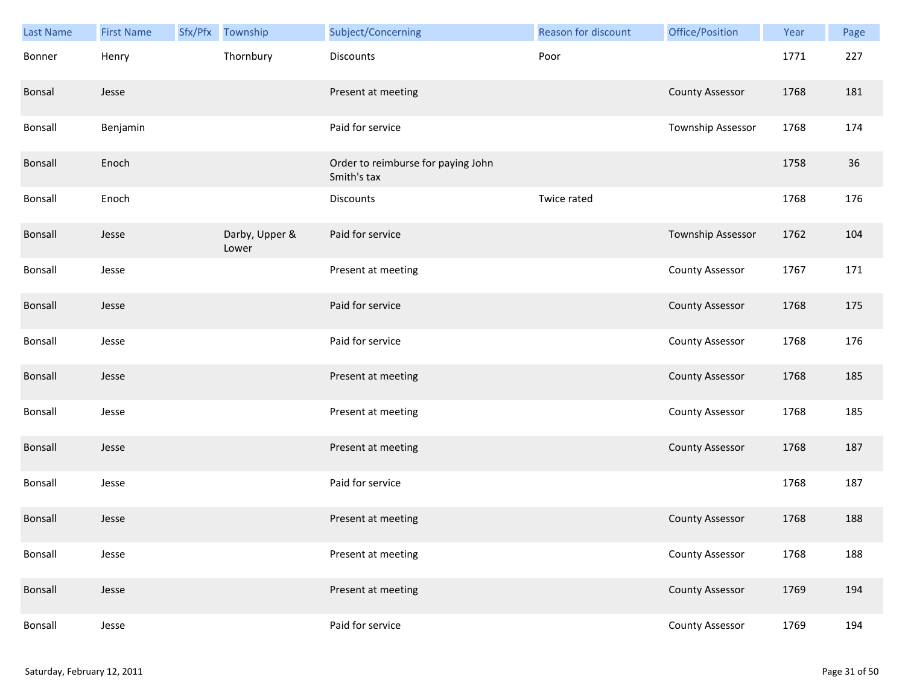| Last Name      | <b>First Name</b> | Sfx/Pfx Township        | Subject/Concerning                                | <b>Reason for discount</b> | Office/Position          | Year | Page |
|----------------|-------------------|-------------------------|---------------------------------------------------|----------------------------|--------------------------|------|------|
| Bonner         | Henry             | Thornbury               | Discounts                                         | Poor                       |                          | 1771 | 227  |
| Bonsal         | Jesse             |                         | Present at meeting                                |                            | <b>County Assessor</b>   | 1768 | 181  |
| Bonsall        | Benjamin          |                         | Paid for service                                  |                            | Township Assessor        | 1768 | 174  |
| <b>Bonsall</b> | Enoch             |                         | Order to reimburse for paying John<br>Smith's tax |                            |                          | 1758 | 36   |
| Bonsall        | Enoch             |                         | Discounts                                         | Twice rated                |                          | 1768 | 176  |
| Bonsall        | Jesse             | Darby, Upper &<br>Lower | Paid for service                                  |                            | <b>Township Assessor</b> | 1762 | 104  |
| Bonsall        | Jesse             |                         | Present at meeting                                |                            | <b>County Assessor</b>   | 1767 | 171  |
| Bonsall        | Jesse             |                         | Paid for service                                  |                            | <b>County Assessor</b>   | 1768 | 175  |
| Bonsall        | Jesse             |                         | Paid for service                                  |                            | <b>County Assessor</b>   | 1768 | 176  |
| <b>Bonsall</b> | Jesse             |                         | Present at meeting                                |                            | <b>County Assessor</b>   | 1768 | 185  |
| Bonsall        | Jesse             |                         | Present at meeting                                |                            | <b>County Assessor</b>   | 1768 | 185  |
| <b>Bonsall</b> | Jesse             |                         | Present at meeting                                |                            | <b>County Assessor</b>   | 1768 | 187  |
| Bonsall        | Jesse             |                         | Paid for service                                  |                            |                          | 1768 | 187  |
| <b>Bonsall</b> | Jesse             |                         | Present at meeting                                |                            | <b>County Assessor</b>   | 1768 | 188  |
| Bonsall        | Jesse             |                         | Present at meeting                                |                            | <b>County Assessor</b>   | 1768 | 188  |
| Bonsall        | Jesse             |                         | Present at meeting                                |                            | <b>County Assessor</b>   | 1769 | 194  |
| Bonsall        | Jesse             |                         | Paid for service                                  |                            | <b>County Assessor</b>   | 1769 | 194  |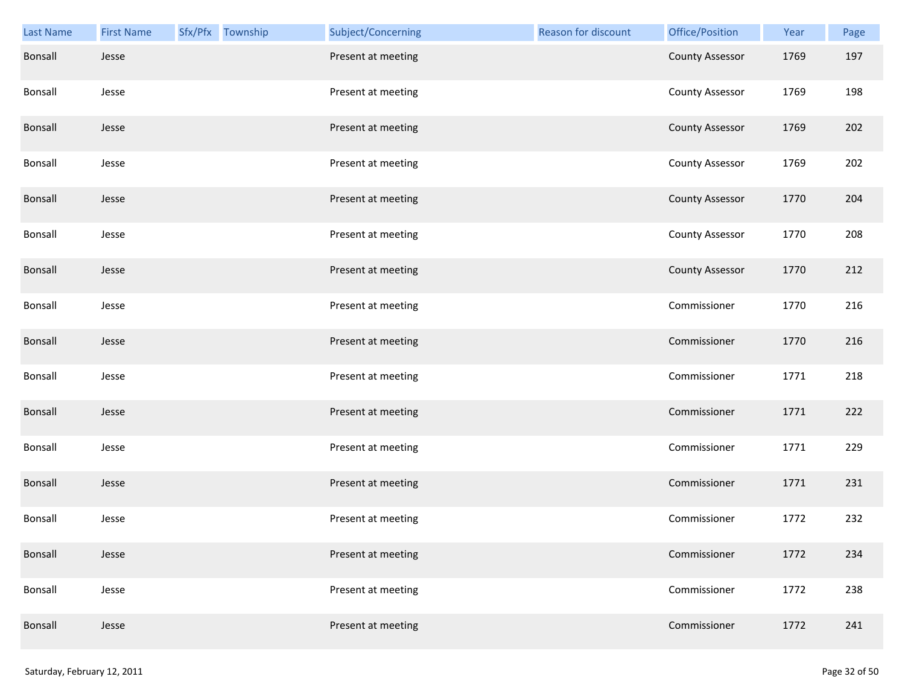| <b>Last Name</b> | <b>First Name</b> | Sfx/Pfx Township | Subject/Concerning | Reason for discount | Office/Position        | Year | Page |
|------------------|-------------------|------------------|--------------------|---------------------|------------------------|------|------|
| Bonsall          | Jesse             |                  | Present at meeting |                     | <b>County Assessor</b> | 1769 | 197  |
| Bonsall          | Jesse             |                  | Present at meeting |                     | <b>County Assessor</b> | 1769 | 198  |
| Bonsall          | Jesse             |                  | Present at meeting |                     | <b>County Assessor</b> | 1769 | 202  |
| Bonsall          | Jesse             |                  | Present at meeting |                     | <b>County Assessor</b> | 1769 | 202  |
| <b>Bonsall</b>   | Jesse             |                  | Present at meeting |                     | <b>County Assessor</b> | 1770 | 204  |
| Bonsall          | Jesse             |                  | Present at meeting |                     | <b>County Assessor</b> | 1770 | 208  |
| Bonsall          | Jesse             |                  | Present at meeting |                     | <b>County Assessor</b> | 1770 | 212  |
| Bonsall          | Jesse             |                  | Present at meeting |                     | Commissioner           | 1770 | 216  |
| Bonsall          | Jesse             |                  | Present at meeting |                     | Commissioner           | 1770 | 216  |
| Bonsall          | Jesse             |                  | Present at meeting |                     | Commissioner           | 1771 | 218  |
| Bonsall          | Jesse             |                  | Present at meeting |                     | Commissioner           | 1771 | 222  |
| <b>Bonsall</b>   | Jesse             |                  | Present at meeting |                     | Commissioner           | 1771 | 229  |
| <b>Bonsall</b>   | Jesse             |                  | Present at meeting |                     | Commissioner           | 1771 | 231  |
| Bonsall          | Jesse             |                  | Present at meeting |                     | Commissioner           | 1772 | 232  |
| Bonsall          | Jesse             |                  | Present at meeting |                     | Commissioner           | 1772 | 234  |
| Bonsall          | Jesse             |                  | Present at meeting |                     | Commissioner           | 1772 | 238  |
| Bonsall          | Jesse             |                  | Present at meeting |                     | Commissioner           | 1772 | 241  |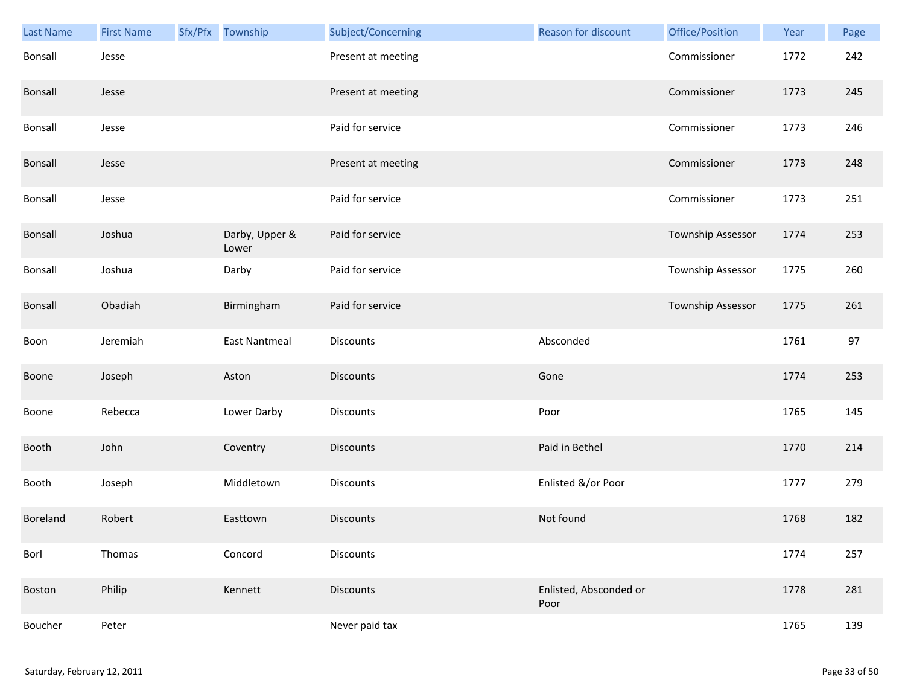| <b>Last Name</b> | <b>First Name</b> | Sfx/Pfx Township        | Subject/Concerning | Reason for discount            | Office/Position          | Year | Page |
|------------------|-------------------|-------------------------|--------------------|--------------------------------|--------------------------|------|------|
| Bonsall          | Jesse             |                         | Present at meeting |                                | Commissioner             | 1772 | 242  |
| Bonsall          | Jesse             |                         | Present at meeting |                                | Commissioner             | 1773 | 245  |
| Bonsall          | Jesse             |                         | Paid for service   |                                | Commissioner             | 1773 | 246  |
| Bonsall          | Jesse             |                         | Present at meeting |                                | Commissioner             | 1773 | 248  |
| Bonsall          | Jesse             |                         | Paid for service   |                                | Commissioner             | 1773 | 251  |
| Bonsall          | Joshua            | Darby, Upper &<br>Lower | Paid for service   |                                | Township Assessor        | 1774 | 253  |
| Bonsall          | Joshua            | Darby                   | Paid for service   |                                | <b>Township Assessor</b> | 1775 | 260  |
| Bonsall          | Obadiah           | Birmingham              | Paid for service   |                                | <b>Township Assessor</b> | 1775 | 261  |
| Boon             | Jeremiah          | East Nantmeal           | <b>Discounts</b>   | Absconded                      |                          | 1761 | 97   |
| Boone            | Joseph            | Aston                   | <b>Discounts</b>   | Gone                           |                          | 1774 | 253  |
| Boone            | Rebecca           | Lower Darby             | Discounts          | Poor                           |                          | 1765 | 145  |
| Booth            | John              | Coventry                | <b>Discounts</b>   | Paid in Bethel                 |                          | 1770 | 214  |
| Booth            | Joseph            | Middletown              | Discounts          | Enlisted &/or Poor             |                          | 1777 | 279  |
| Boreland         | Robert            | Easttown                | <b>Discounts</b>   | Not found                      |                          | 1768 | 182  |
| Borl             | Thomas            | Concord                 | Discounts          |                                |                          | 1774 | 257  |
| Boston           | Philip            | Kennett                 | <b>Discounts</b>   | Enlisted, Absconded or<br>Poor |                          | 1778 | 281  |
| Boucher          | Peter             |                         | Never paid tax     |                                |                          | 1765 | 139  |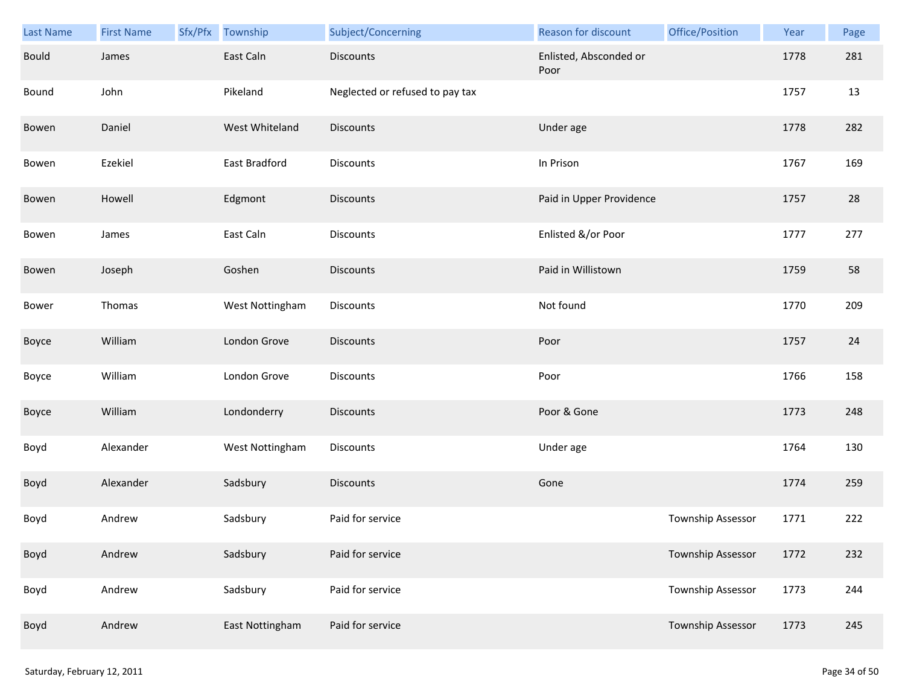| Last Name    | <b>First Name</b> | Sfx/Pfx | Township        | Subject/Concerning              | Reason for discount            | Office/Position   | Year | Page |
|--------------|-------------------|---------|-----------------|---------------------------------|--------------------------------|-------------------|------|------|
| <b>Bould</b> | James             |         | East Caln       | <b>Discounts</b>                | Enlisted, Absconded or<br>Poor |                   | 1778 | 281  |
| Bound        | John              |         | Pikeland        | Neglected or refused to pay tax |                                |                   | 1757 | 13   |
| Bowen        | Daniel            |         | West Whiteland  | <b>Discounts</b>                | Under age                      |                   | 1778 | 282  |
| Bowen        | Ezekiel           |         | East Bradford   | Discounts                       | In Prison                      |                   | 1767 | 169  |
| Bowen        | Howell            |         | Edgmont         | <b>Discounts</b>                | Paid in Upper Providence       |                   | 1757 | 28   |
| Bowen        | James             |         | East Caln       | Discounts                       | Enlisted &/or Poor             |                   | 1777 | 277  |
| Bowen        | Joseph            |         | Goshen          | Discounts                       | Paid in Willistown             |                   | 1759 | 58   |
| Bower        | Thomas            |         | West Nottingham | Discounts                       | Not found                      |                   | 1770 | 209  |
| Boyce        | William           |         | London Grove    | <b>Discounts</b>                | Poor                           |                   | 1757 | 24   |
| Boyce        | William           |         | London Grove    | Discounts                       | Poor                           |                   | 1766 | 158  |
| Boyce        | William           |         | Londonderry     | Discounts                       | Poor & Gone                    |                   | 1773 | 248  |
| Boyd         | Alexander         |         | West Nottingham | Discounts                       | Under age                      |                   | 1764 | 130  |
| Boyd         | Alexander         |         | Sadsbury        | Discounts                       | Gone                           |                   | 1774 | 259  |
| Boyd         | Andrew            |         | Sadsbury        | Paid for service                |                                | Township Assessor | 1771 | 222  |
| Boyd         | Andrew            |         | Sadsbury        | Paid for service                |                                | Township Assessor | 1772 | 232  |
| Boyd         | Andrew            |         | Sadsbury        | Paid for service                |                                | Township Assessor | 1773 | 244  |
| Boyd         | Andrew            |         | East Nottingham | Paid for service                |                                | Township Assessor | 1773 | 245  |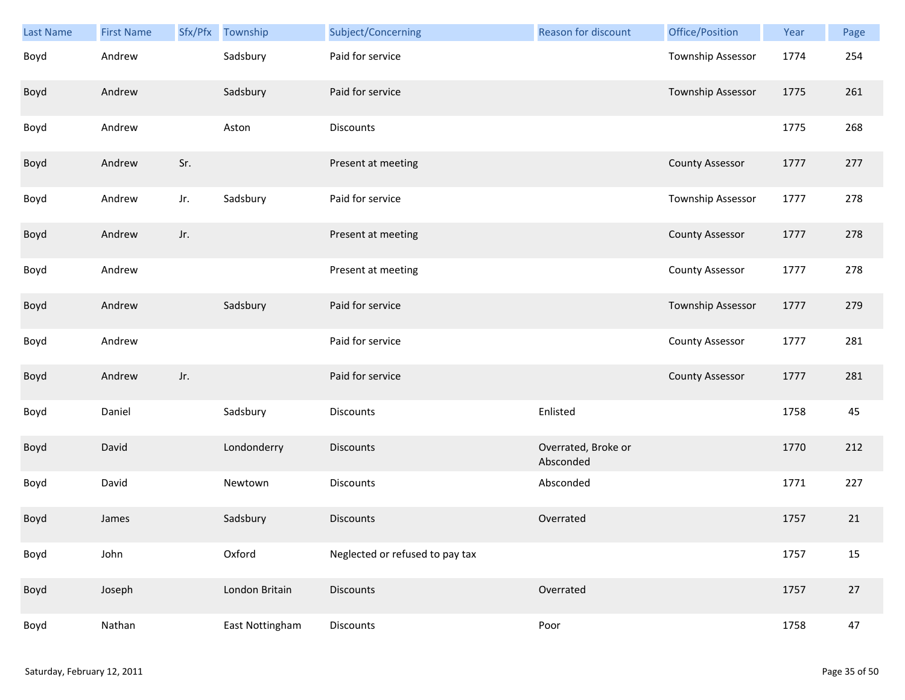| Last Name | <b>First Name</b> | Sfx/Pfx | Township        | Subject/Concerning              | Reason for discount              | Office/Position        | Year | Page |
|-----------|-------------------|---------|-----------------|---------------------------------|----------------------------------|------------------------|------|------|
| Boyd      | Andrew            |         | Sadsbury        | Paid for service                |                                  | Township Assessor      | 1774 | 254  |
| Boyd      | Andrew            |         | Sadsbury        | Paid for service                |                                  | Township Assessor      | 1775 | 261  |
| Boyd      | Andrew            |         | Aston           | <b>Discounts</b>                |                                  |                        | 1775 | 268  |
| Boyd      | Andrew            | Sr.     |                 | Present at meeting              |                                  | <b>County Assessor</b> | 1777 | 277  |
| Boyd      | Andrew            | Jr.     | Sadsbury        | Paid for service                |                                  | Township Assessor      | 1777 | 278  |
| Boyd      | Andrew            | Jr.     |                 | Present at meeting              |                                  | <b>County Assessor</b> | 1777 | 278  |
| Boyd      | Andrew            |         |                 | Present at meeting              |                                  | <b>County Assessor</b> | 1777 | 278  |
| Boyd      | Andrew            |         | Sadsbury        | Paid for service                |                                  | Township Assessor      | 1777 | 279  |
| Boyd      | Andrew            |         |                 | Paid for service                |                                  | <b>County Assessor</b> | 1777 | 281  |
| Boyd      | Andrew            | Jr.     |                 | Paid for service                |                                  | <b>County Assessor</b> | 1777 | 281  |
| Boyd      | Daniel            |         | Sadsbury        | Discounts                       | Enlisted                         |                        | 1758 | 45   |
| Boyd      | David             |         | Londonderry     | Discounts                       | Overrated, Broke or<br>Absconded |                        | 1770 | 212  |
| Boyd      | David             |         | Newtown         | Discounts                       | Absconded                        |                        | 1771 | 227  |
| Boyd      | James             |         | Sadsbury        | <b>Discounts</b>                | Overrated                        |                        | 1757 | 21   |
| Boyd      | John              |         | Oxford          | Neglected or refused to pay tax |                                  |                        | 1757 | 15   |
| Boyd      | Joseph            |         | London Britain  | Discounts                       | Overrated                        |                        | 1757 | 27   |
| Boyd      | Nathan            |         | East Nottingham | <b>Discounts</b>                | Poor                             |                        | 1758 | 47   |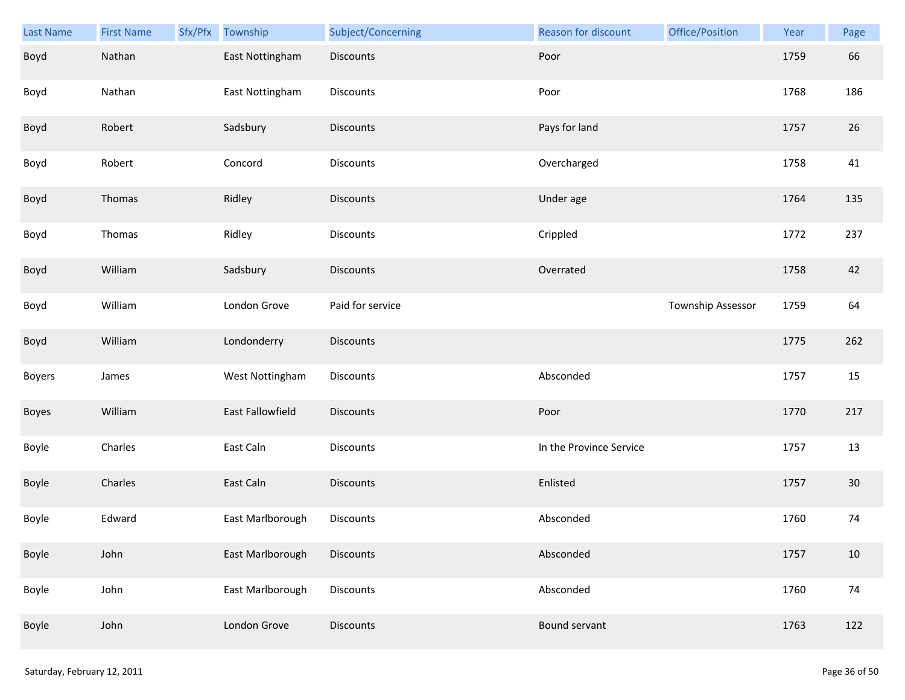| <b>Last Name</b> | <b>First Name</b> | Sfx/Pfx | Township         | Subject/Concerning | Reason for discount     | Office/Position   | Year | Page   |
|------------------|-------------------|---------|------------------|--------------------|-------------------------|-------------------|------|--------|
| Boyd             | Nathan            |         | East Nottingham  | Discounts          | Poor                    |                   | 1759 | 66     |
| Boyd             | Nathan            |         | East Nottingham  | Discounts          | Poor                    |                   | 1768 | 186    |
| Boyd             | Robert            |         | Sadsbury         | Discounts          | Pays for land           |                   | 1757 | 26     |
| Boyd             | Robert            |         | Concord          | Discounts          | Overcharged             |                   | 1758 | 41     |
| Boyd             | Thomas            |         | Ridley           | Discounts          | Under age               |                   | 1764 | 135    |
| Boyd             | Thomas            |         | Ridley           | Discounts          | Crippled                |                   | 1772 | 237    |
| Boyd             | William           |         | Sadsbury         | <b>Discounts</b>   | Overrated               |                   | 1758 | 42     |
| Boyd             | William           |         | London Grove     | Paid for service   |                         | Township Assessor | 1759 | 64     |
| Boyd             | William           |         | Londonderry      | Discounts          |                         |                   | 1775 | 262    |
| <b>Boyers</b>    | James             |         | West Nottingham  | Discounts          | Absconded               |                   | 1757 | 15     |
| Boyes            | William           |         | East Fallowfield | Discounts          | Poor                    |                   | 1770 | 217    |
| Boyle            | Charles           |         | East Caln        | Discounts          | In the Province Service |                   | 1757 | 13     |
| Boyle            | Charles           |         | East Caln        | Discounts          | Enlisted                |                   | 1757 | 30     |
| Boyle            | Edward            |         | East Marlborough | Discounts          | Absconded               |                   | 1760 | 74     |
| Boyle            | John              |         | East Marlborough | Discounts          | Absconded               |                   | 1757 | $10\,$ |
| Boyle            | John              |         | East Marlborough | Discounts          | Absconded               |                   | 1760 | 74     |
| Boyle            | John              |         | London Grove     | Discounts          | Bound servant           |                   | 1763 | 122    |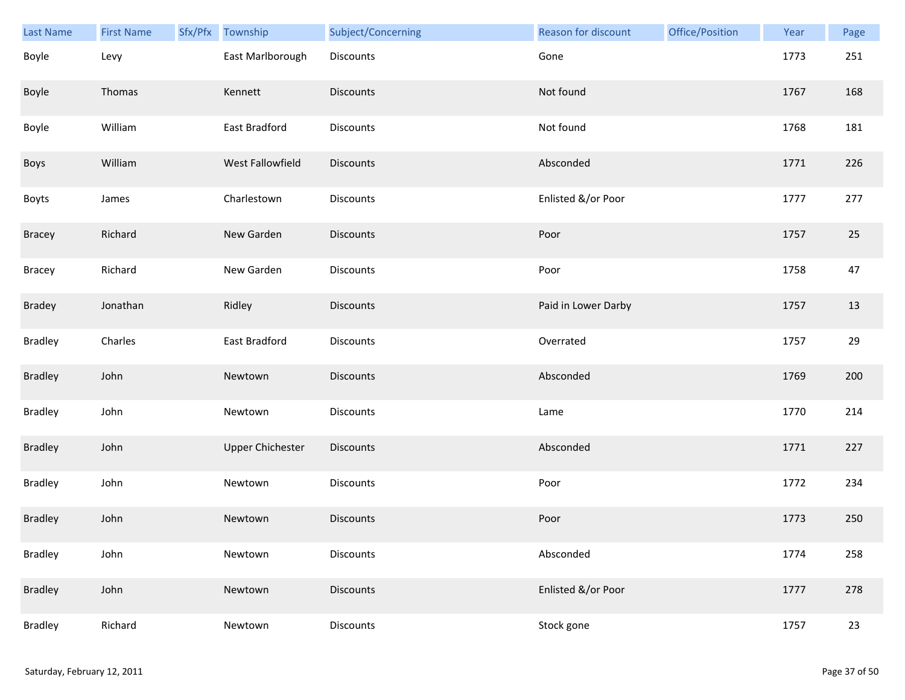| Last Name      | <b>First Name</b> | Sfx/Pfx | Township                | Subject/Concerning | Reason for discount | Office/Position | Year | Page   |
|----------------|-------------------|---------|-------------------------|--------------------|---------------------|-----------------|------|--------|
| Boyle          | Levy              |         | East Marlborough        | Discounts          | Gone                |                 | 1773 | 251    |
| Boyle          | Thomas            |         | Kennett                 | <b>Discounts</b>   | Not found           |                 | 1767 | 168    |
| Boyle          | William           |         | East Bradford           | Discounts          | Not found           |                 | 1768 | 181    |
| Boys           | William           |         | West Fallowfield        | <b>Discounts</b>   | Absconded           |                 | 1771 | 226    |
| <b>Boyts</b>   | James             |         | Charlestown             | Discounts          | Enlisted &/or Poor  |                 | 1777 | 277    |
| Bracey         | Richard           |         | New Garden              | Discounts          | Poor                |                 | 1757 | $25\,$ |
| <b>Bracey</b>  | Richard           |         | New Garden              | Discounts          | Poor                |                 | 1758 | 47     |
| <b>Bradey</b>  | Jonathan          |         | Ridley                  | Discounts          | Paid in Lower Darby |                 | 1757 | 13     |
| <b>Bradley</b> | Charles           |         | East Bradford           | Discounts          | Overrated           |                 | 1757 | 29     |
| <b>Bradley</b> | John              |         | Newtown                 | Discounts          | Absconded           |                 | 1769 | 200    |
| <b>Bradley</b> | John              |         | Newtown                 | Discounts          | Lame                |                 | 1770 | 214    |
| <b>Bradley</b> | John              |         | <b>Upper Chichester</b> | Discounts          | Absconded           |                 | 1771 | 227    |
| <b>Bradley</b> | John              |         | Newtown                 | Discounts          | Poor                |                 | 1772 | 234    |
| <b>Bradley</b> | John              |         | Newtown                 | <b>Discounts</b>   | Poor                |                 | 1773 | 250    |
| <b>Bradley</b> | John              |         | Newtown                 | <b>Discounts</b>   | Absconded           |                 | 1774 | 258    |
| <b>Bradley</b> | John              |         | Newtown                 | <b>Discounts</b>   | Enlisted &/or Poor  |                 | 1777 | 278    |
| <b>Bradley</b> | Richard           |         | Newtown                 | <b>Discounts</b>   | Stock gone          |                 | 1757 | 23     |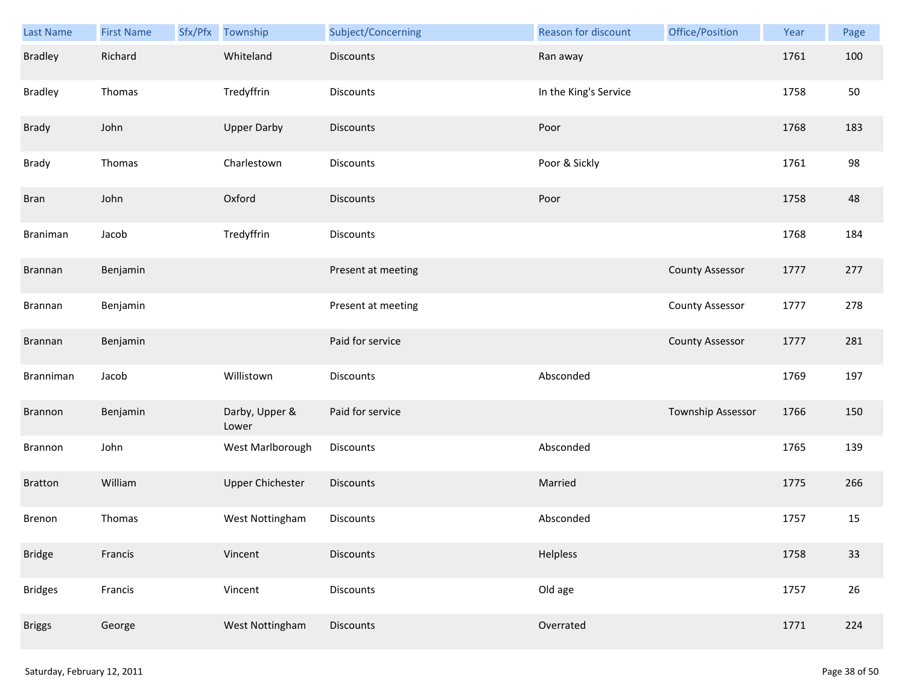| <b>Last Name</b> | <b>First Name</b> | Sfx/Pfx | Township                | Subject/Concerning | Reason for discount   | Office/Position        | Year | Page |
|------------------|-------------------|---------|-------------------------|--------------------|-----------------------|------------------------|------|------|
| <b>Bradley</b>   | Richard           |         | Whiteland               | <b>Discounts</b>   | Ran away              |                        | 1761 | 100  |
| <b>Bradley</b>   | Thomas            |         | Tredyffrin              | Discounts          | In the King's Service |                        | 1758 | 50   |
| Brady            | John              |         | <b>Upper Darby</b>      | Discounts          | Poor                  |                        | 1768 | 183  |
| Brady            | Thomas            |         | Charlestown             | <b>Discounts</b>   | Poor & Sickly         |                        | 1761 | 98   |
| <b>Bran</b>      | John              |         | Oxford                  | <b>Discounts</b>   | Poor                  |                        | 1758 | 48   |
| Braniman         | Jacob             |         | Tredyffrin              | Discounts          |                       |                        | 1768 | 184  |
| Brannan          | Benjamin          |         |                         | Present at meeting |                       | <b>County Assessor</b> | 1777 | 277  |
| Brannan          | Benjamin          |         |                         | Present at meeting |                       | <b>County Assessor</b> | 1777 | 278  |
| Brannan          | Benjamin          |         |                         | Paid for service   |                       | <b>County Assessor</b> | 1777 | 281  |
| Branniman        | Jacob             |         | Willistown              | Discounts          | Absconded             |                        | 1769 | 197  |
| Brannon          | Benjamin          |         | Darby, Upper &<br>Lower | Paid for service   |                       | Township Assessor      | 1766 | 150  |
| Brannon          | John              |         | West Marlborough        | Discounts          | Absconded             |                        | 1765 | 139  |
| <b>Bratton</b>   | William           |         | <b>Upper Chichester</b> | Discounts          | Married               |                        | 1775 | 266  |
| Brenon           | Thomas            |         | West Nottingham         | Discounts          | Absconded             |                        | 1757 | 15   |
| <b>Bridge</b>    | Francis           |         | Vincent                 | <b>Discounts</b>   | Helpless              |                        | 1758 | 33   |
| <b>Bridges</b>   | Francis           |         | Vincent                 | <b>Discounts</b>   | Old age               |                        | 1757 | 26   |
| <b>Briggs</b>    | George            |         | West Nottingham         | Discounts          | Overrated             |                        | 1771 | 224  |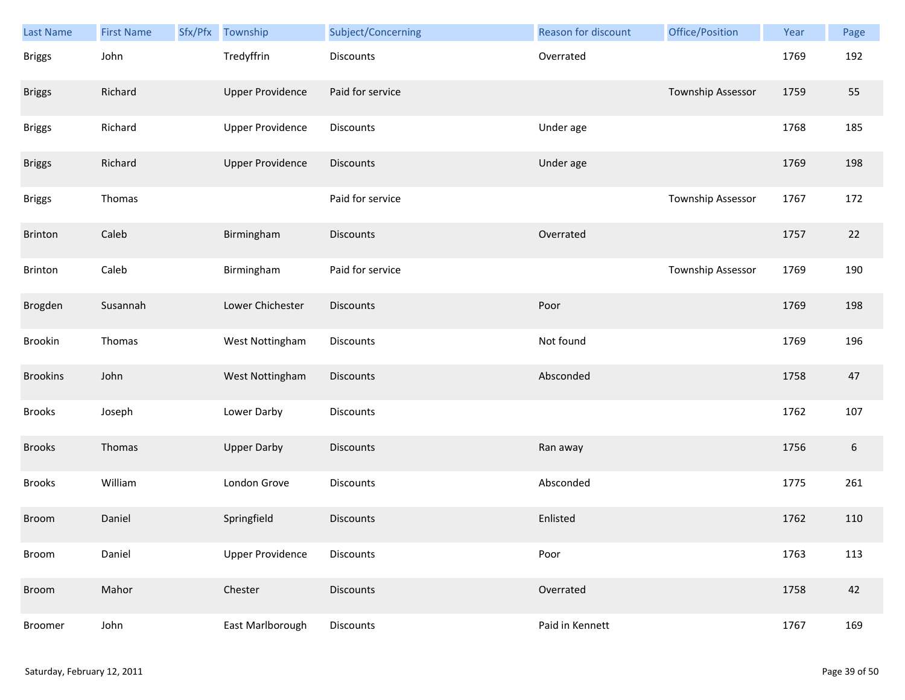| <b>Last Name</b> | <b>First Name</b> | Sfx/Pfx | Township                | Subject/Concerning | Reason for discount | Office/Position   | Year | Page             |
|------------------|-------------------|---------|-------------------------|--------------------|---------------------|-------------------|------|------------------|
| <b>Briggs</b>    | John              |         | Tredyffrin              | Discounts          | Overrated           |                   | 1769 | 192              |
| <b>Briggs</b>    | Richard           |         | <b>Upper Providence</b> | Paid for service   |                     | Township Assessor | 1759 | 55               |
| <b>Briggs</b>    | Richard           |         | <b>Upper Providence</b> | Discounts          | Under age           |                   | 1768 | 185              |
| <b>Briggs</b>    | Richard           |         | <b>Upper Providence</b> | <b>Discounts</b>   | Under age           |                   | 1769 | 198              |
| <b>Briggs</b>    | Thomas            |         |                         | Paid for service   |                     | Township Assessor | 1767 | 172              |
| Brinton          | Caleb             |         | Birmingham              | <b>Discounts</b>   | Overrated           |                   | 1757 | 22               |
| Brinton          | Caleb             |         | Birmingham              | Paid for service   |                     | Township Assessor | 1769 | 190              |
| Brogden          | Susannah          |         | Lower Chichester        | <b>Discounts</b>   | Poor                |                   | 1769 | 198              |
| Brookin          | Thomas            |         | West Nottingham         | Discounts          | Not found           |                   | 1769 | 196              |
| <b>Brookins</b>  | John              |         | West Nottingham         | <b>Discounts</b>   | Absconded           |                   | 1758 | 47               |
| <b>Brooks</b>    | Joseph            |         | Lower Darby             | Discounts          |                     |                   | 1762 | 107              |
| <b>Brooks</b>    | Thomas            |         | <b>Upper Darby</b>      | Discounts          | Ran away            |                   | 1756 | $\boldsymbol{6}$ |
| <b>Brooks</b>    | William           |         | London Grove            | Discounts          | Absconded           |                   | 1775 | 261              |
| <b>Broom</b>     | Daniel            |         | Springfield             | <b>Discounts</b>   | Enlisted            |                   | 1762 | 110              |
| Broom            | Daniel            |         | <b>Upper Providence</b> | Discounts          | Poor                |                   | 1763 | 113              |
| Broom            | Mahor             |         | Chester                 | <b>Discounts</b>   | Overrated           |                   | 1758 | 42               |
| Broomer          | John              |         | East Marlborough        | Discounts          | Paid in Kennett     |                   | 1767 | 169              |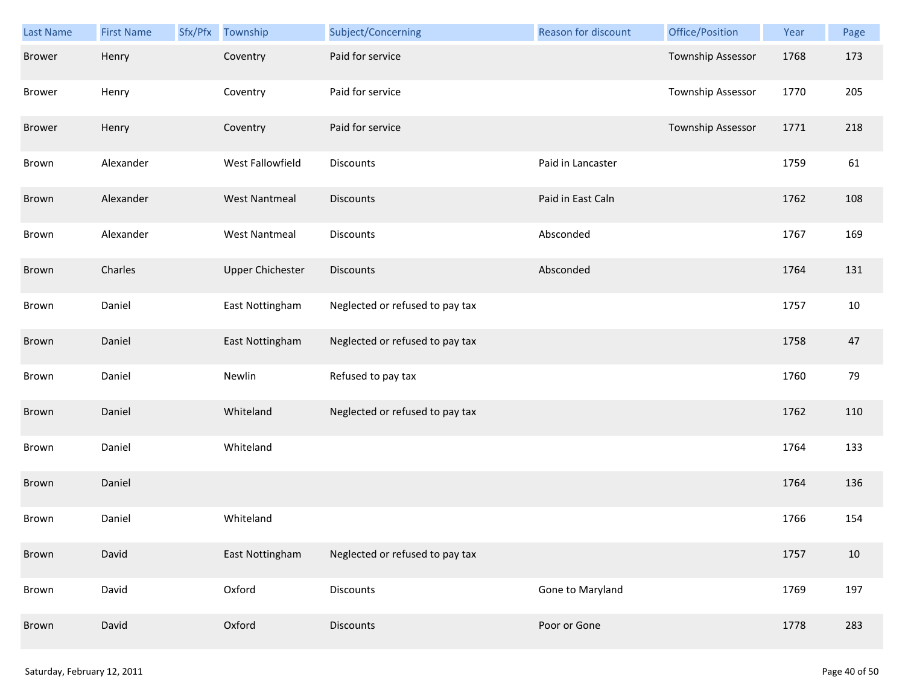| Last Name     | <b>First Name</b> | Sfx/Pfx Township        | Subject/Concerning              | Reason for discount | Office/Position   | Year | Page |
|---------------|-------------------|-------------------------|---------------------------------|---------------------|-------------------|------|------|
| <b>Brower</b> | Henry             | Coventry                | Paid for service                |                     | Township Assessor | 1768 | 173  |
| <b>Brower</b> | Henry             | Coventry                | Paid for service                |                     | Township Assessor | 1770 | 205  |
| <b>Brower</b> | Henry             | Coventry                | Paid for service                |                     | Township Assessor | 1771 | 218  |
| Brown         | Alexander         | West Fallowfield        | <b>Discounts</b>                | Paid in Lancaster   |                   | 1759 | 61   |
| Brown         | Alexander         | <b>West Nantmeal</b>    | <b>Discounts</b>                | Paid in East Caln   |                   | 1762 | 108  |
| Brown         | Alexander         | <b>West Nantmeal</b>    | <b>Discounts</b>                | Absconded           |                   | 1767 | 169  |
| Brown         | Charles           | <b>Upper Chichester</b> | <b>Discounts</b>                | Absconded           |                   | 1764 | 131  |
| Brown         | Daniel            | East Nottingham         | Neglected or refused to pay tax |                     |                   | 1757 | 10   |
| Brown         | Daniel            | East Nottingham         | Neglected or refused to pay tax |                     |                   | 1758 | 47   |
| Brown         | Daniel            | Newlin                  | Refused to pay tax              |                     |                   | 1760 | 79   |
| Brown         | Daniel            | Whiteland               | Neglected or refused to pay tax |                     |                   | 1762 | 110  |
| Brown         | Daniel            | Whiteland               |                                 |                     |                   | 1764 | 133  |
| Brown         | Daniel            |                         |                                 |                     |                   | 1764 | 136  |
| Brown         | Daniel            | Whiteland               |                                 |                     |                   | 1766 | 154  |
| Brown         | David             | East Nottingham         | Neglected or refused to pay tax |                     |                   | 1757 | 10   |
| Brown         | David             | Oxford                  | Discounts                       | Gone to Maryland    |                   | 1769 | 197  |
| Brown         | David             | Oxford                  | <b>Discounts</b>                | Poor or Gone        |                   | 1778 | 283  |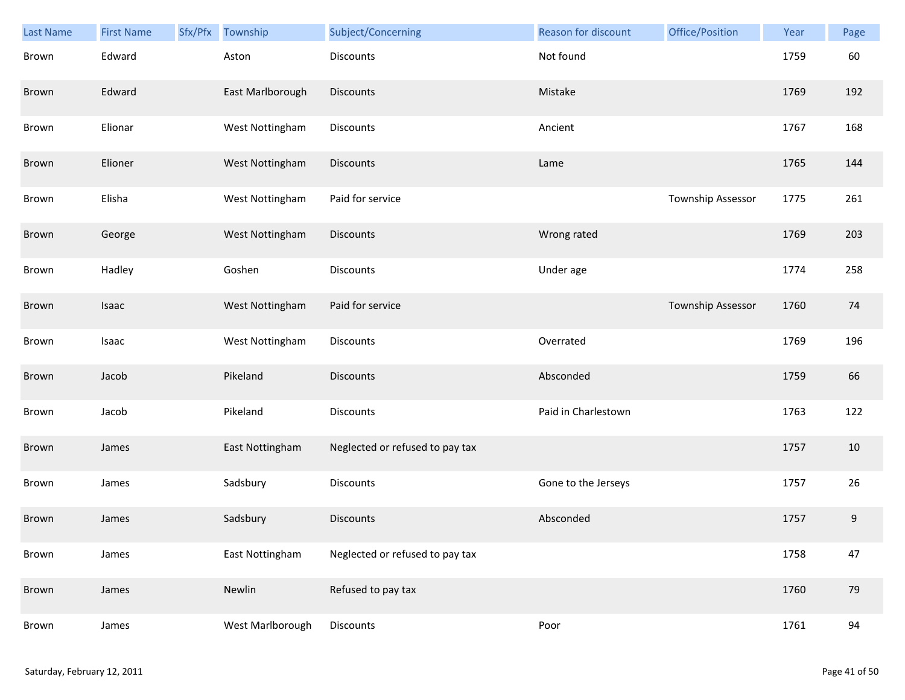| Last Name | <b>First Name</b> | Sfx/Pfx | Township         | Subject/Concerning              | <b>Reason for discount</b> | Office/Position   | Year | Page |
|-----------|-------------------|---------|------------------|---------------------------------|----------------------------|-------------------|------|------|
| Brown     | Edward            |         | Aston            | <b>Discounts</b>                | Not found                  |                   | 1759 | 60   |
| Brown     | Edward            |         | East Marlborough | <b>Discounts</b>                | Mistake                    |                   | 1769 | 192  |
| Brown     | Elionar           |         | West Nottingham  | Discounts                       | Ancient                    |                   | 1767 | 168  |
| Brown     | Elioner           |         | West Nottingham  | <b>Discounts</b>                | Lame                       |                   | 1765 | 144  |
| Brown     | Elisha            |         | West Nottingham  | Paid for service                |                            | Township Assessor | 1775 | 261  |
| Brown     | George            |         | West Nottingham  | <b>Discounts</b>                | Wrong rated                |                   | 1769 | 203  |
| Brown     | Hadley            |         | Goshen           | <b>Discounts</b>                | Under age                  |                   | 1774 | 258  |
| Brown     | Isaac             |         | West Nottingham  | Paid for service                |                            | Township Assessor | 1760 | 74   |
| Brown     | Isaac             |         | West Nottingham  | Discounts                       | Overrated                  |                   | 1769 | 196  |
| Brown     | Jacob             |         | Pikeland         | <b>Discounts</b>                | Absconded                  |                   | 1759 | 66   |
| Brown     | Jacob             |         | Pikeland         | Discounts                       | Paid in Charlestown        |                   | 1763 | 122  |
| Brown     | James             |         | East Nottingham  | Neglected or refused to pay tax |                            |                   | 1757 | 10   |
| Brown     | James             |         | Sadsbury         | Discounts                       | Gone to the Jerseys        |                   | 1757 | 26   |
| Brown     | James             |         | Sadsbury         | <b>Discounts</b>                | Absconded                  |                   | 1757 | 9    |
| Brown     | James             |         | East Nottingham  | Neglected or refused to pay tax |                            |                   | 1758 | 47   |
| Brown     | James             |         | Newlin           | Refused to pay tax              |                            |                   | 1760 | 79   |
| Brown     | James             |         | West Marlborough | Discounts                       | Poor                       |                   | 1761 | 94   |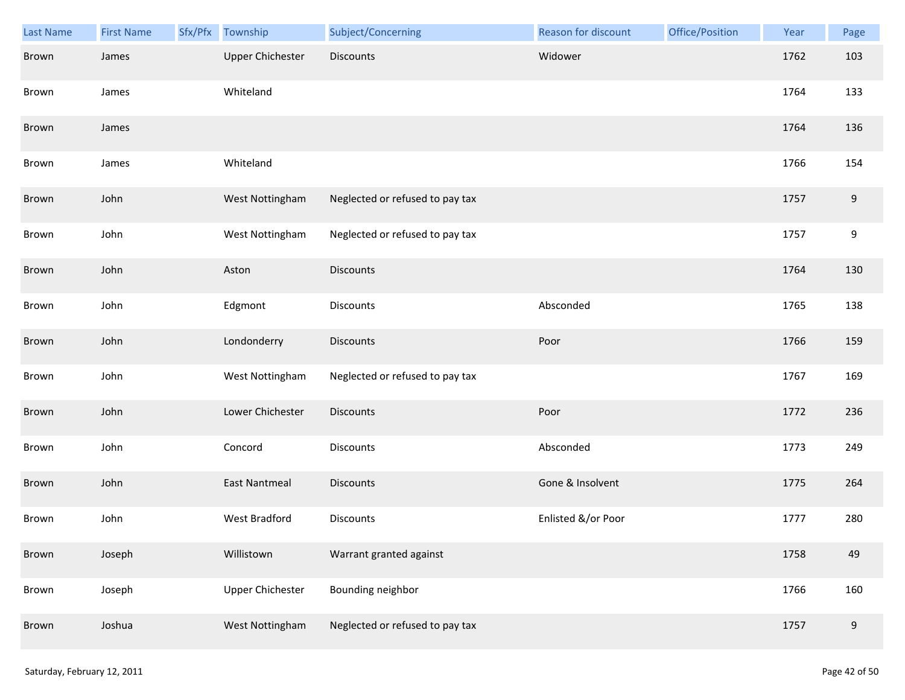| Last Name | <b>First Name</b> | Sfx/Pfx | Township                | Subject/Concerning              | Reason for discount | Office/Position | Year | Page             |
|-----------|-------------------|---------|-------------------------|---------------------------------|---------------------|-----------------|------|------------------|
| Brown     | James             |         | <b>Upper Chichester</b> | <b>Discounts</b>                | Widower             |                 | 1762 | 103              |
| Brown     | James             |         | Whiteland               |                                 |                     |                 | 1764 | 133              |
| Brown     | James             |         |                         |                                 |                     |                 | 1764 | 136              |
| Brown     | James             |         | Whiteland               |                                 |                     |                 | 1766 | 154              |
| Brown     | John              |         | West Nottingham         | Neglected or refused to pay tax |                     |                 | 1757 | 9                |
| Brown     | John              |         | West Nottingham         | Neglected or refused to pay tax |                     |                 | 1757 | $\boldsymbol{9}$ |
| Brown     | John              |         | Aston                   | <b>Discounts</b>                |                     |                 | 1764 | 130              |
| Brown     | John              |         | Edgmont                 | Discounts                       | Absconded           |                 | 1765 | 138              |
| Brown     | John              |         | Londonderry             | <b>Discounts</b>                | Poor                |                 | 1766 | 159              |
| Brown     | John              |         | West Nottingham         | Neglected or refused to pay tax |                     |                 | 1767 | 169              |
| Brown     | John              |         | Lower Chichester        | <b>Discounts</b>                | Poor                |                 | 1772 | 236              |
| Brown     | John              |         | Concord                 | Discounts                       | Absconded           |                 | 1773 | 249              |
| Brown     | John              |         | <b>East Nantmeal</b>    | Discounts                       | Gone & Insolvent    |                 | 1775 | 264              |
| Brown     | John              |         | West Bradford           | Discounts                       | Enlisted &/or Poor  |                 | 1777 | 280              |
| Brown     | Joseph            |         | Willistown              | Warrant granted against         |                     |                 | 1758 | 49               |
| Brown     | Joseph            |         | <b>Upper Chichester</b> | Bounding neighbor               |                     |                 | 1766 | 160              |
| Brown     | Joshua            |         | West Nottingham         | Neglected or refused to pay tax |                     |                 | 1757 | 9                |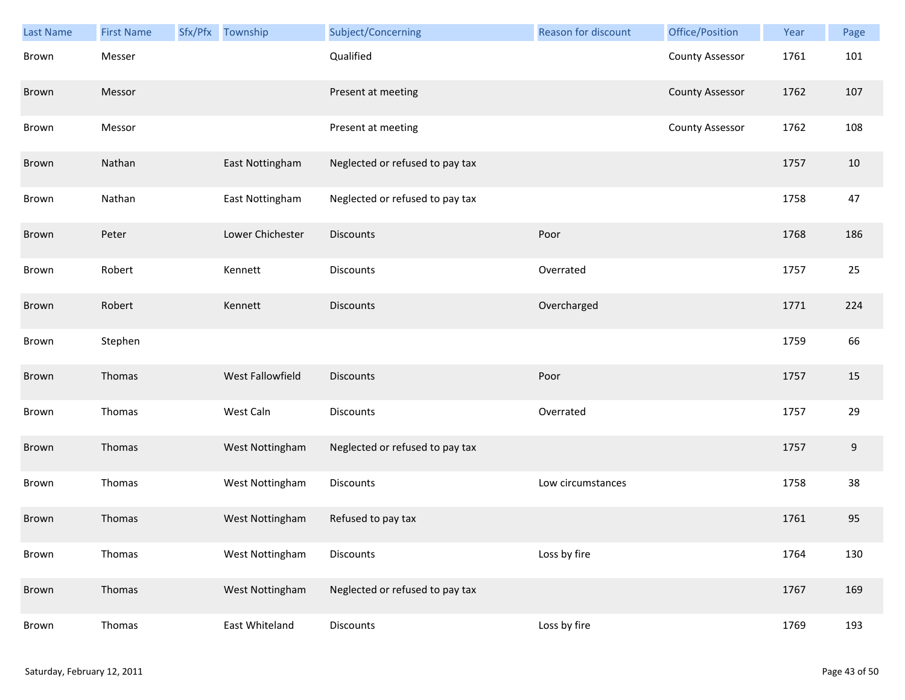| <b>Last Name</b> | <b>First Name</b> | Sfx/Pfx Township | Subject/Concerning              | Reason for discount | Office/Position        | Year | Page             |
|------------------|-------------------|------------------|---------------------------------|---------------------|------------------------|------|------------------|
| Brown            | Messer            |                  | Qualified                       |                     | <b>County Assessor</b> | 1761 | 101              |
| Brown            | Messor            |                  | Present at meeting              |                     | <b>County Assessor</b> | 1762 | 107              |
| Brown            | Messor            |                  | Present at meeting              |                     | <b>County Assessor</b> | 1762 | 108              |
| Brown            | Nathan            | East Nottingham  | Neglected or refused to pay tax |                     |                        | 1757 | 10               |
| Brown            | Nathan            | East Nottingham  | Neglected or refused to pay tax |                     |                        | 1758 | 47               |
| Brown            | Peter             | Lower Chichester | Discounts                       | Poor                |                        | 1768 | 186              |
| Brown            | Robert            | Kennett          | Discounts                       | Overrated           |                        | 1757 | 25               |
| Brown            | Robert            | Kennett          | Discounts                       | Overcharged         |                        | 1771 | 224              |
| Brown            | Stephen           |                  |                                 |                     |                        | 1759 | 66               |
| Brown            | Thomas            | West Fallowfield | Discounts                       | Poor                |                        | 1757 | 15               |
| Brown            | Thomas            | West Caln        | Discounts                       | Overrated           |                        | 1757 | 29               |
| Brown            | Thomas            | West Nottingham  | Neglected or refused to pay tax |                     |                        | 1757 | $\boldsymbol{9}$ |
| Brown            | Thomas            | West Nottingham  | Discounts                       | Low circumstances   |                        | 1758 | 38               |
| Brown            | Thomas            | West Nottingham  | Refused to pay tax              |                     |                        | 1761 | 95               |
| Brown            | Thomas            | West Nottingham  | Discounts                       | Loss by fire        |                        | 1764 | 130              |
| Brown            | Thomas            | West Nottingham  | Neglected or refused to pay tax |                     |                        | 1767 | 169              |
| Brown            | Thomas            | East Whiteland   | Discounts                       | Loss by fire        |                        | 1769 | 193              |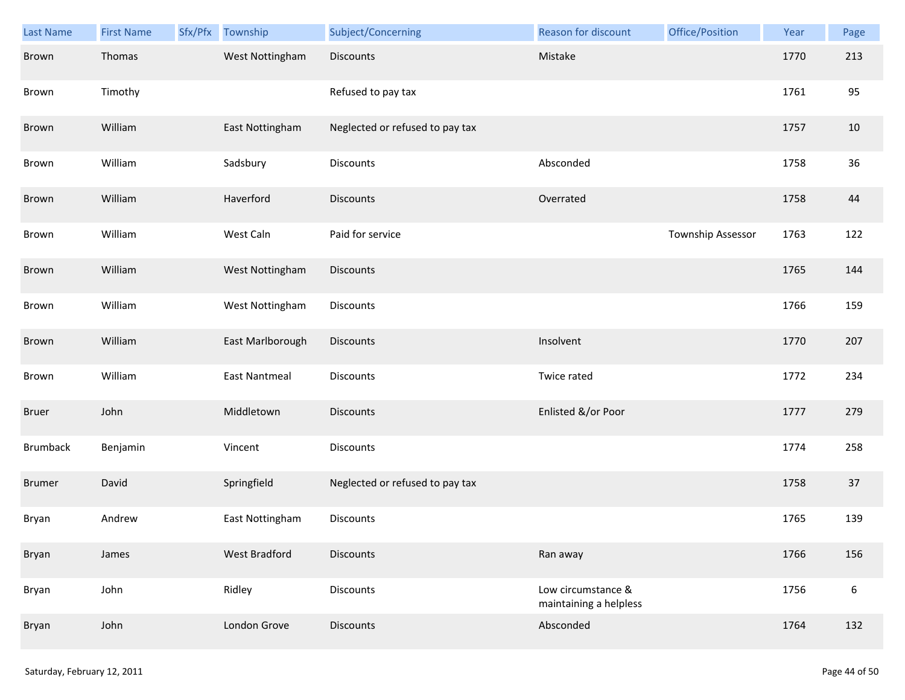| Last Name       | <b>First Name</b> | Sfx/Pfx | Township             | Subject/Concerning              | Reason for discount                          | Office/Position   | Year | Page             |
|-----------------|-------------------|---------|----------------------|---------------------------------|----------------------------------------------|-------------------|------|------------------|
| Brown           | Thomas            |         | West Nottingham      | Discounts                       | Mistake                                      |                   | 1770 | 213              |
| Brown           | Timothy           |         |                      | Refused to pay tax              |                                              |                   | 1761 | 95               |
| Brown           | William           |         | East Nottingham      | Neglected or refused to pay tax |                                              |                   | 1757 | 10               |
| Brown           | William           |         | Sadsbury             | Discounts                       | Absconded                                    |                   | 1758 | 36               |
| Brown           | William           |         | Haverford            | <b>Discounts</b>                | Overrated                                    |                   | 1758 | 44               |
| Brown           | William           |         | West Caln            | Paid for service                |                                              | Township Assessor | 1763 | 122              |
| Brown           | William           |         | West Nottingham      | <b>Discounts</b>                |                                              |                   | 1765 | 144              |
| Brown           | William           |         | West Nottingham      | Discounts                       |                                              |                   | 1766 | 159              |
| Brown           | William           |         | East Marlborough     | <b>Discounts</b>                | Insolvent                                    |                   | 1770 | 207              |
| Brown           | William           |         | <b>East Nantmeal</b> | Discounts                       | Twice rated                                  |                   | 1772 | 234              |
| <b>Bruer</b>    | John              |         | Middletown           | <b>Discounts</b>                | Enlisted &/or Poor                           |                   | 1777 | 279              |
| <b>Brumback</b> | Benjamin          |         | Vincent              | Discounts                       |                                              |                   | 1774 | 258              |
| <b>Brumer</b>   | David             |         | Springfield          | Neglected or refused to pay tax |                                              |                   | 1758 | 37               |
| Bryan           | Andrew            |         | East Nottingham      | <b>Discounts</b>                |                                              |                   | 1765 | 139              |
| Bryan           | James             |         | <b>West Bradford</b> | <b>Discounts</b>                | Ran away                                     |                   | 1766 | 156              |
| Bryan           | John              |         | Ridley               | <b>Discounts</b>                | Low circumstance &<br>maintaining a helpless |                   | 1756 | $\boldsymbol{6}$ |
| Bryan           | John              |         | London Grove         | <b>Discounts</b>                | Absconded                                    |                   | 1764 | 132              |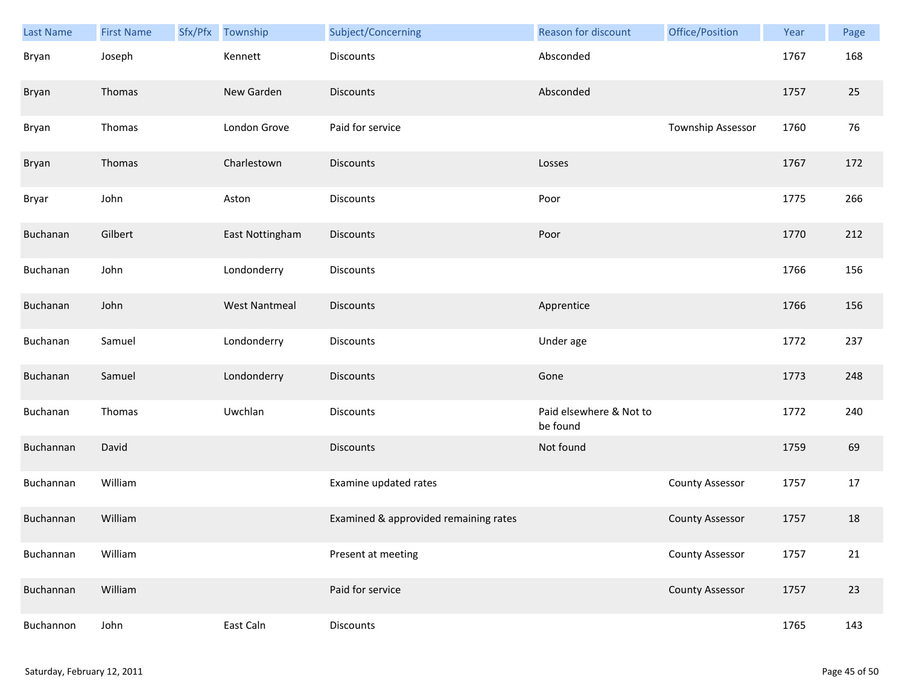| Last Name | <b>First Name</b> | Sfx/Pfx Township     | Subject/Concerning                    | <b>Reason for discount</b>          | Office/Position        | Year | Page |
|-----------|-------------------|----------------------|---------------------------------------|-------------------------------------|------------------------|------|------|
| Bryan     | Joseph            | Kennett              | <b>Discounts</b>                      | Absconded                           |                        | 1767 | 168  |
| Bryan     | Thomas            | New Garden           | <b>Discounts</b>                      | Absconded                           |                        | 1757 | 25   |
| Bryan     | Thomas            | London Grove         | Paid for service                      |                                     | Township Assessor      | 1760 | 76   |
| Bryan     | Thomas            | Charlestown          | <b>Discounts</b>                      | Losses                              |                        | 1767 | 172  |
| Bryar     | John              | Aston                | Discounts                             | Poor                                |                        | 1775 | 266  |
| Buchanan  | Gilbert           | East Nottingham      | <b>Discounts</b>                      | Poor                                |                        | 1770 | 212  |
| Buchanan  | John              | Londonderry          | Discounts                             |                                     |                        | 1766 | 156  |
| Buchanan  | John              | <b>West Nantmeal</b> | <b>Discounts</b>                      | Apprentice                          |                        | 1766 | 156  |
| Buchanan  | Samuel            | Londonderry          | Discounts                             | Under age                           |                        | 1772 | 237  |
| Buchanan  | Samuel            | Londonderry          | <b>Discounts</b>                      | Gone                                |                        | 1773 | 248  |
| Buchanan  | Thomas            | Uwchlan              | Discounts                             | Paid elsewhere & Not to<br>be found |                        | 1772 | 240  |
| Buchannan | David             |                      | <b>Discounts</b>                      | Not found                           |                        | 1759 | 69   |
| Buchannan | William           |                      | Examine updated rates                 |                                     | <b>County Assessor</b> | 1757 | 17   |
| Buchannan | William           |                      | Examined & approvided remaining rates |                                     | <b>County Assessor</b> | 1757 | 18   |
| Buchannan | William           |                      | Present at meeting                    |                                     | <b>County Assessor</b> | 1757 | 21   |
| Buchannan | William           |                      | Paid for service                      |                                     | <b>County Assessor</b> | 1757 | 23   |
| Buchannon | John              | East Caln            | <b>Discounts</b>                      |                                     |                        | 1765 | 143  |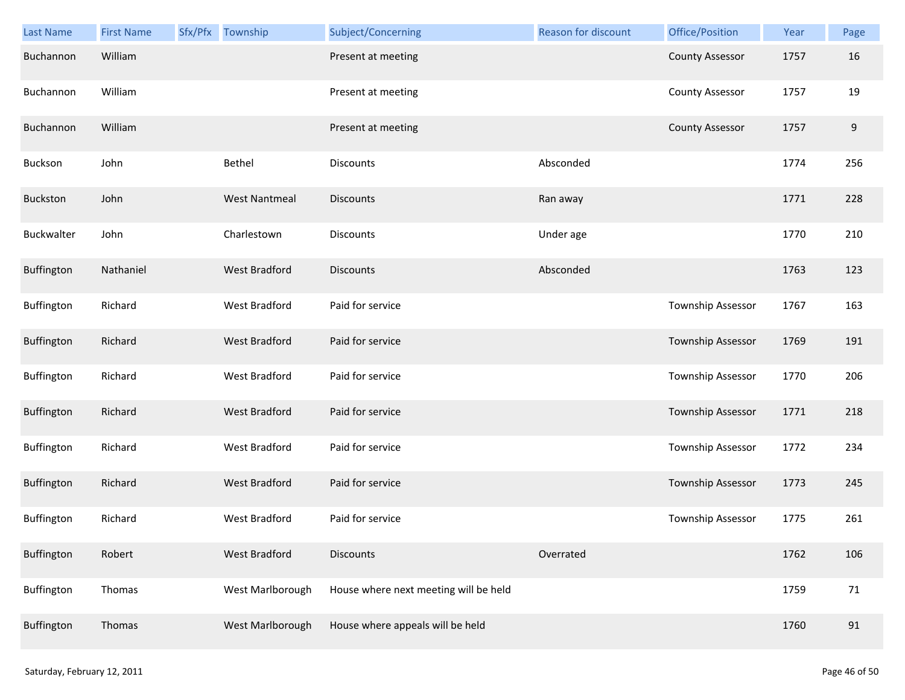| Last Name  | <b>First Name</b> | Sfx/Pfx Township     | Subject/Concerning                    | Reason for discount | Office/Position        | Year | Page  |
|------------|-------------------|----------------------|---------------------------------------|---------------------|------------------------|------|-------|
| Buchannon  | William           |                      | Present at meeting                    |                     | <b>County Assessor</b> | 1757 | 16    |
| Buchannon  | William           |                      | Present at meeting                    |                     | <b>County Assessor</b> | 1757 | 19    |
| Buchannon  | William           |                      | Present at meeting                    |                     | <b>County Assessor</b> | 1757 | $9\,$ |
| Buckson    | John              | Bethel               | <b>Discounts</b>                      | Absconded           |                        | 1774 | 256   |
| Buckston   | John              | <b>West Nantmeal</b> | <b>Discounts</b>                      | Ran away            |                        | 1771 | 228   |
| Buckwalter | John              | Charlestown          | <b>Discounts</b>                      | Under age           |                        | 1770 | 210   |
| Buffington | Nathaniel         | <b>West Bradford</b> | <b>Discounts</b>                      | Absconded           |                        | 1763 | 123   |
| Buffington | Richard           | West Bradford        | Paid for service                      |                     | Township Assessor      | 1767 | 163   |
| Buffington | Richard           | <b>West Bradford</b> | Paid for service                      |                     | Township Assessor      | 1769 | 191   |
| Buffington | Richard           | West Bradford        | Paid for service                      |                     | Township Assessor      | 1770 | 206   |
| Buffington | Richard           | <b>West Bradford</b> | Paid for service                      |                     | Township Assessor      | 1771 | 218   |
| Buffington | Richard           | West Bradford        | Paid for service                      |                     | Township Assessor      | 1772 | 234   |
| Buffington | Richard           | <b>West Bradford</b> | Paid for service                      |                     | Township Assessor      | 1773 | 245   |
| Buffington | Richard           | <b>West Bradford</b> | Paid for service                      |                     | Township Assessor      | 1775 | 261   |
| Buffington | Robert            | <b>West Bradford</b> | <b>Discounts</b>                      | Overrated           |                        | 1762 | 106   |
| Buffington | Thomas            | West Marlborough     | House where next meeting will be held |                     |                        | 1759 | 71    |
| Buffington | Thomas            | West Marlborough     | House where appeals will be held      |                     |                        | 1760 | 91    |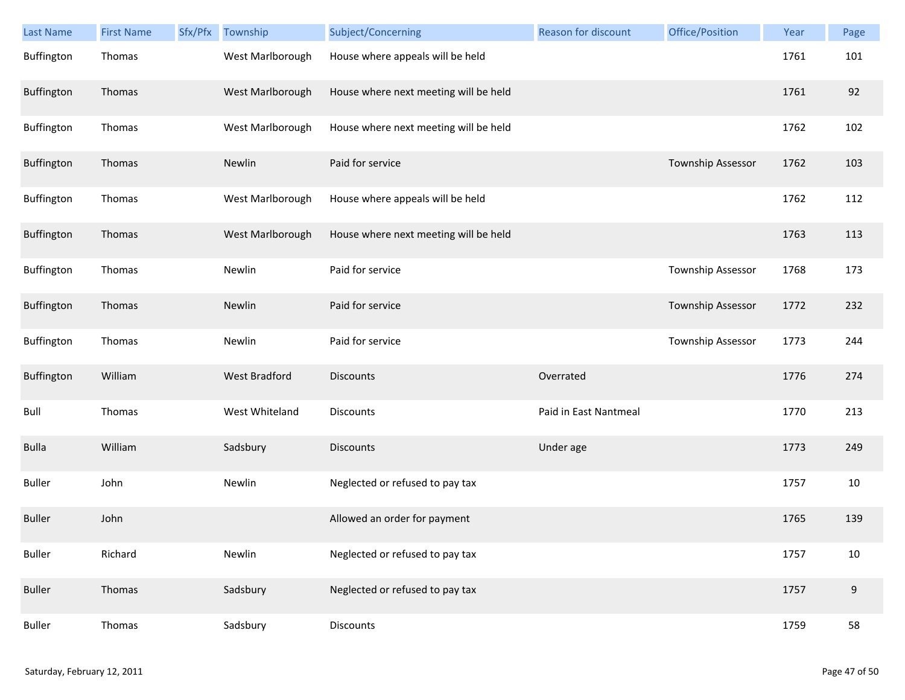| <b>Last Name</b> | <b>First Name</b> | Sfx/Pfx | Township             | Subject/Concerning                    | Reason for discount   | Office/Position   | Year | Page |
|------------------|-------------------|---------|----------------------|---------------------------------------|-----------------------|-------------------|------|------|
| Buffington       | Thomas            |         | West Marlborough     | House where appeals will be held      |                       |                   | 1761 | 101  |
| Buffington       | Thomas            |         | West Marlborough     | House where next meeting will be held |                       |                   | 1761 | 92   |
| Buffington       | Thomas            |         | West Marlborough     | House where next meeting will be held |                       |                   | 1762 | 102  |
| Buffington       | Thomas            |         | Newlin               | Paid for service                      |                       | Township Assessor | 1762 | 103  |
| Buffington       | Thomas            |         | West Marlborough     | House where appeals will be held      |                       |                   | 1762 | 112  |
| Buffington       | Thomas            |         | West Marlborough     | House where next meeting will be held |                       |                   | 1763 | 113  |
| Buffington       | Thomas            |         | Newlin               | Paid for service                      |                       | Township Assessor | 1768 | 173  |
| Buffington       | Thomas            |         | Newlin               | Paid for service                      |                       | Township Assessor | 1772 | 232  |
| Buffington       | Thomas            |         | Newlin               | Paid for service                      |                       | Township Assessor | 1773 | 244  |
| Buffington       | William           |         | <b>West Bradford</b> | <b>Discounts</b>                      | Overrated             |                   | 1776 | 274  |
| Bull             | Thomas            |         | West Whiteland       | Discounts                             | Paid in East Nantmeal |                   | 1770 | 213  |
| <b>Bulla</b>     | William           |         | Sadsbury             | <b>Discounts</b>                      | Under age             |                   | 1773 | 249  |
| <b>Buller</b>    | John              |         | Newlin               | Neglected or refused to pay tax       |                       |                   | 1757 | 10   |
| <b>Buller</b>    | John              |         |                      | Allowed an order for payment          |                       |                   | 1765 | 139  |
| <b>Buller</b>    | Richard           |         | Newlin               | Neglected or refused to pay tax       |                       |                   | 1757 | 10   |
| <b>Buller</b>    | Thomas            |         | Sadsbury             | Neglected or refused to pay tax       |                       |                   | 1757 | 9    |
| <b>Buller</b>    | Thomas            |         | Sadsbury             | Discounts                             |                       |                   | 1759 | 58   |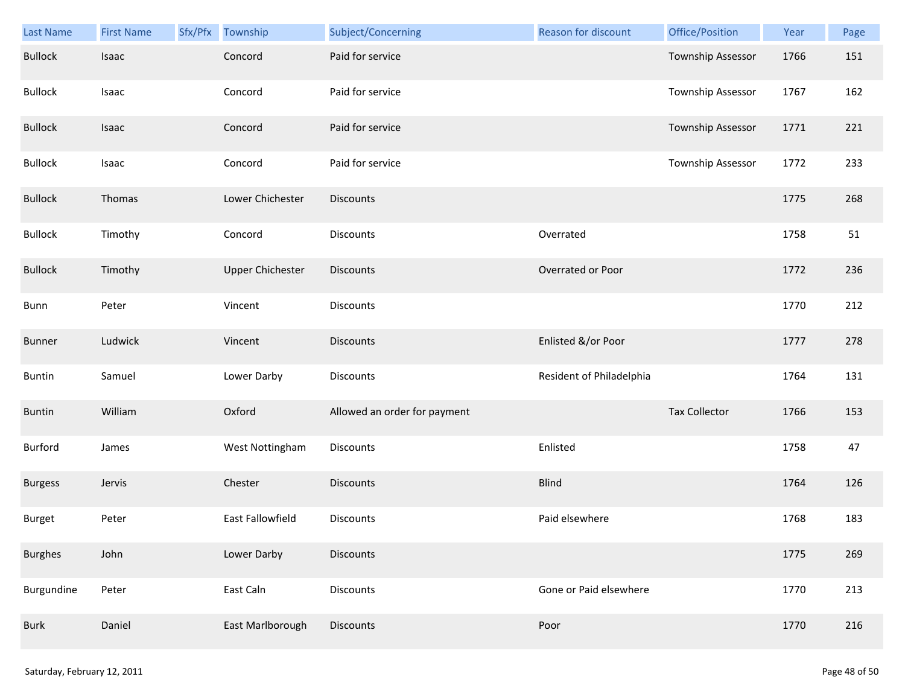| Last Name      | <b>First Name</b> | Sfx/Pfx Township        | Subject/Concerning           | Reason for discount      | Office/Position      | Year | Page |
|----------------|-------------------|-------------------------|------------------------------|--------------------------|----------------------|------|------|
| <b>Bullock</b> | Isaac             | Concord                 | Paid for service             |                          | Township Assessor    | 1766 | 151  |
| <b>Bullock</b> | Isaac             | Concord                 | Paid for service             |                          | Township Assessor    | 1767 | 162  |
| <b>Bullock</b> | Isaac             | Concord                 | Paid for service             |                          | Township Assessor    | 1771 | 221  |
| <b>Bullock</b> | Isaac             | Concord                 | Paid for service             |                          | Township Assessor    | 1772 | 233  |
| <b>Bullock</b> | Thomas            | Lower Chichester        | <b>Discounts</b>             |                          |                      | 1775 | 268  |
| <b>Bullock</b> | Timothy           | Concord                 | Discounts                    | Overrated                |                      | 1758 | 51   |
| <b>Bullock</b> | Timothy           | <b>Upper Chichester</b> | <b>Discounts</b>             | Overrated or Poor        |                      | 1772 | 236  |
| Bunn           | Peter             | Vincent                 | Discounts                    |                          |                      | 1770 | 212  |
| <b>Bunner</b>  | Ludwick           | Vincent                 | <b>Discounts</b>             | Enlisted &/or Poor       |                      | 1777 | 278  |
| <b>Buntin</b>  | Samuel            | Lower Darby             | <b>Discounts</b>             | Resident of Philadelphia |                      | 1764 | 131  |
| <b>Buntin</b>  | William           | Oxford                  | Allowed an order for payment |                          | <b>Tax Collector</b> | 1766 | 153  |
| Burford        | James             | West Nottingham         | <b>Discounts</b>             | Enlisted                 |                      | 1758 | 47   |
| <b>Burgess</b> | Jervis            | Chester                 | Discounts                    | <b>Blind</b>             |                      | 1764 | 126  |
| Burget         | Peter             | East Fallowfield        | Discounts                    | Paid elsewhere           |                      | 1768 | 183  |
| <b>Burghes</b> | John              | Lower Darby             | <b>Discounts</b>             |                          |                      | 1775 | 269  |
| Burgundine     | Peter             | East Caln               | <b>Discounts</b>             | Gone or Paid elsewhere   |                      | 1770 | 213  |
| <b>Burk</b>    | Daniel            | East Marlborough        | Discounts                    | Poor                     |                      | 1770 | 216  |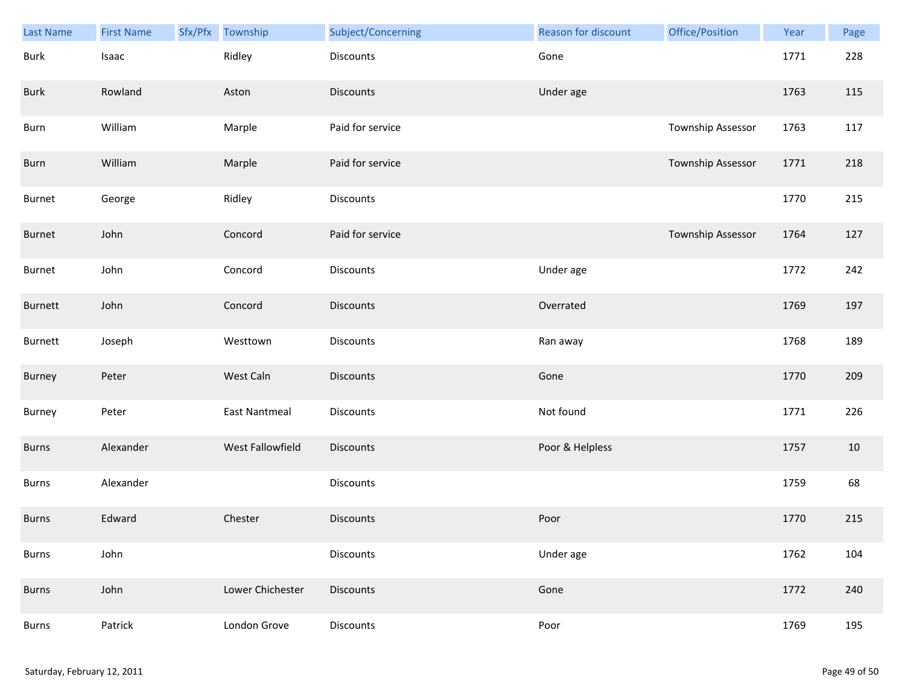| <b>Last Name</b> | <b>First Name</b> | Sfx/Pfx | Township             | Subject/Concerning | <b>Reason for discount</b> | Office/Position   | Year | Page |
|------------------|-------------------|---------|----------------------|--------------------|----------------------------|-------------------|------|------|
| <b>Burk</b>      | Isaac             |         | Ridley               | Discounts          | Gone                       |                   | 1771 | 228  |
| <b>Burk</b>      | Rowland           |         | Aston                | <b>Discounts</b>   | Under age                  |                   | 1763 | 115  |
| Burn             | William           |         | Marple               | Paid for service   |                            | Township Assessor | 1763 | 117  |
| Burn             | William           |         | Marple               | Paid for service   |                            | Township Assessor | 1771 | 218  |
| Burnet           | George            |         | Ridley               | <b>Discounts</b>   |                            |                   | 1770 | 215  |
| Burnet           | John              |         | Concord              | Paid for service   |                            | Township Assessor | 1764 | 127  |
| Burnet           | John              |         | Concord              | Discounts          | Under age                  |                   | 1772 | 242  |
| Burnett          | John              |         | Concord              | Discounts          | Overrated                  |                   | 1769 | 197  |
| Burnett          | Joseph            |         | Westtown             | Discounts          | Ran away                   |                   | 1768 | 189  |
| <b>Burney</b>    | Peter             |         | West Caln            | <b>Discounts</b>   | Gone                       |                   | 1770 | 209  |
| Burney           | Peter             |         | <b>East Nantmeal</b> | Discounts          | Not found                  |                   | 1771 | 226  |
| <b>Burns</b>     | Alexander         |         | West Fallowfield     | Discounts          | Poor & Helpless            |                   | 1757 | 10   |
| Burns            | Alexander         |         |                      | Discounts          |                            |                   | 1759 | 68   |
| <b>Burns</b>     | Edward            |         | Chester              | <b>Discounts</b>   | Poor                       |                   | 1770 | 215  |
| <b>Burns</b>     | John              |         |                      | <b>Discounts</b>   | Under age                  |                   | 1762 | 104  |
| <b>Burns</b>     | John              |         | Lower Chichester     | Discounts          | Gone                       |                   | 1772 | 240  |
| Burns            | Patrick           |         | London Grove         | Discounts          | Poor                       |                   | 1769 | 195  |